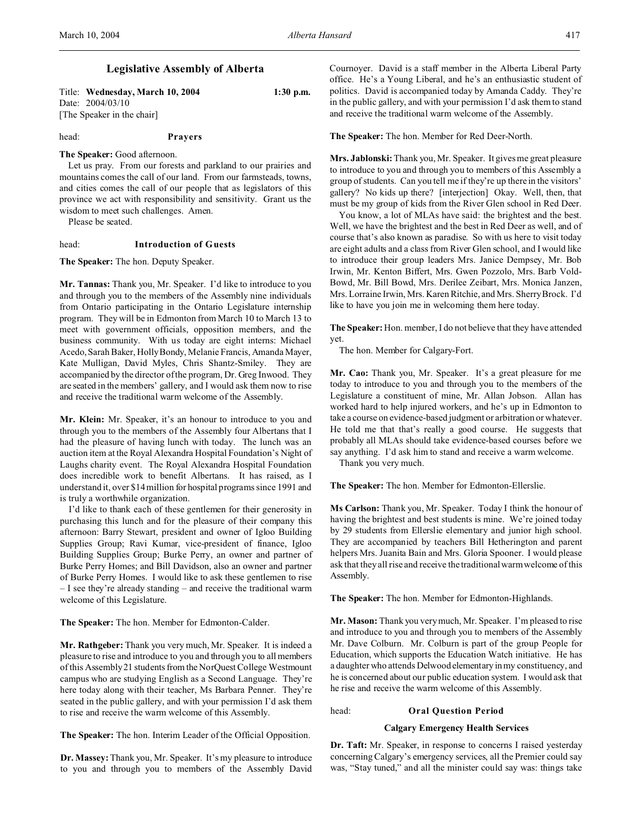## **Legislative Assembly of Alberta**

Title: **Wednesday, March 10, 2004 1:30 p.m.** Date: 2004/03/10 [The Speaker in the chair]

head: **Prayers**

#### **The Speaker:** Good afternoon.

Let us pray. From our forests and parkland to our prairies and mountains comes the call of our land. From our farmsteads, towns, and cities comes the call of our people that as legislators of this province we act with responsibility and sensitivity. Grant us the wisdom to meet such challenges. Amen.

Please be seated.

#### head: **Introduction of Guests**

**The Speaker:** The hon. Deputy Speaker.

**Mr. Tannas:** Thank you, Mr. Speaker. I'd like to introduce to you and through you to the members of the Assembly nine individuals from Ontario participating in the Ontario Legislature internship program. They will be in Edmonton from March 10 to March 13 to meet with government officials, opposition members, and the business community. With us today are eight interns: Michael Acedo, Sarah Baker, Holly Bondy, Melanie Francis, Amanda Mayer, Kate Mulligan, David Myles, Chris Shantz-Smiley. They are accompanied by the director of the program, Dr. Greg Inwood. They are seated in the members' gallery, and I would ask them now to rise and receive the traditional warm welcome of the Assembly.

**Mr. Klein:** Mr. Speaker, it's an honour to introduce to you and through you to the members of the Assembly four Albertans that I had the pleasure of having lunch with today. The lunch was an auction item at the Royal Alexandra Hospital Foundation's Night of Laughs charity event. The Royal Alexandra Hospital Foundation does incredible work to benefit Albertans. It has raised, as I understand it, over \$14 million for hospital programs since 1991 and is truly a worthwhile organization.

I'd like to thank each of these gentlemen for their generosity in purchasing this lunch and for the pleasure of their company this afternoon: Barry Stewart, president and owner of Igloo Building Supplies Group; Ravi Kumar, vice-president of finance, Igloo Building Supplies Group; Burke Perry, an owner and partner of Burke Perry Homes; and Bill Davidson, also an owner and partner of Burke Perry Homes. I would like to ask these gentlemen to rise – I see they're already standing – and receive the traditional warm welcome of this Legislature.

**The Speaker:** The hon. Member for Edmonton-Calder.

**Mr. Rathgeber:** Thank you very much, Mr. Speaker. It is indeed a pleasure to rise and introduce to you and through you to all members of this Assembly 21 students from the NorQuest College Westmount campus who are studying English as a Second Language. They're here today along with their teacher, Ms Barbara Penner. They're seated in the public gallery, and with your permission I'd ask them to rise and receive the warm welcome of this Assembly.

**The Speaker:** The hon. Interim Leader of the Official Opposition.

**Dr. Massey:** Thank you, Mr. Speaker. It's my pleasure to introduce to you and through you to members of the Assembly David

Cournoyer. David is a staff member in the Alberta Liberal Party office. He's a Young Liberal, and he's an enthusiastic student of politics. David is accompanied today by Amanda Caddy. They're in the public gallery, and with your permission I'd ask them to stand and receive the traditional warm welcome of the Assembly.

### **The Speaker:** The hon. Member for Red Deer-North.

**Mrs. Jablonski:** Thank you, Mr. Speaker. It gives me great pleasure to introduce to you and through you to members of this Assembly a group of students. Can you tell me if they're up there in the visitors' gallery? No kids up there? [interjection] Okay. Well, then, that must be my group of kids from the River Glen school in Red Deer.

You know, a lot of MLAs have said: the brightest and the best. Well, we have the brightest and the best in Red Deer as well, and of course that's also known as paradise. So with us here to visit today are eight adults and a class from River Glen school, and I would like to introduce their group leaders Mrs. Janice Dempsey, Mr. Bob Irwin, Mr. Kenton Biffert, Mrs. Gwen Pozzolo, Mrs. Barb Vold-Bowd, Mr. Bill Bowd, Mrs. Derilee Zeibart, Mrs. Monica Janzen, Mrs. Lorraine Irwin, Mrs. Karen Ritchie, and Mrs. Sherry Brock. I'd like to have you join me in welcoming them here today.

**The Speaker:** Hon. member, I do not believe that they have attended yet.

The hon. Member for Calgary-Fort.

**Mr. Cao:** Thank you, Mr. Speaker. It's a great pleasure for me today to introduce to you and through you to the members of the Legislature a constituent of mine, Mr. Allan Jobson. Allan has worked hard to help injured workers, and he's up in Edmonton to take a course on evidence-based judgment or arbitration or whatever. He told me that that's really a good course. He suggests that probably all MLAs should take evidence-based courses before we say anything. I'd ask him to stand and receive a warm welcome.

Thank you very much.

**The Speaker:** The hon. Member for Edmonton-Ellerslie.

**Ms Carlson:** Thank you, Mr. Speaker. Today I think the honour of having the brightest and best students is mine. We're joined today by 29 students from Ellerslie elementary and junior high school. They are accompanied by teachers Bill Hetherington and parent helpers Mrs. Juanita Bain and Mrs. Gloria Spooner. I would please ask that they all rise and receive the traditional warm welcome of this Assembly.

**The Speaker:** The hon. Member for Edmonton-Highlands.

**Mr. Mason:** Thank you very much, Mr. Speaker. I'm pleased to rise and introduce to you and through you to members of the Assembly Mr. Dave Colburn. Mr. Colburn is part of the group People for Education, which supports the Education Watch initiative. He has a daughter who attends Delwood elementary in my constituency, and he is concerned about our public education system. I would ask that he rise and receive the warm welcome of this Assembly.

#### head: **Oral Question Period**

### **Calgary Emergency Health Services**

**Dr. Taft:** Mr. Speaker, in response to concerns I raised yesterday concerning Calgary's emergency services, all the Premier could say was, "Stay tuned," and all the minister could say was: things take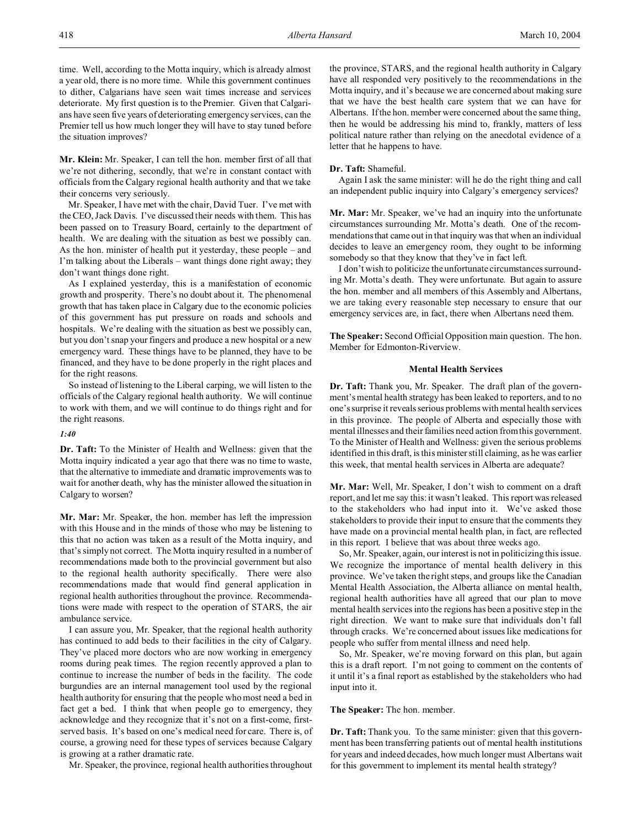time. Well, according to the Motta inquiry, which is already almost a year old, there is no more time. While this government continues to dither, Calgarians have seen wait times increase and services deteriorate. My first question is to the Premier. Given that Calgarians have seen five years of deteriorating emergency services, can the Premier tell us how much longer they will have to stay tuned before the situation improves?

**Mr. Klein:** Mr. Speaker, I can tell the hon. member first of all that we're not dithering, secondly, that we're in constant contact with officials from the Calgary regional health authority and that we take their concerns very seriously.

Mr. Speaker, I have met with the chair, David Tuer. I've met with the CEO, Jack Davis. I've discussed their needs with them. This has been passed on to Treasury Board, certainly to the department of health. We are dealing with the situation as best we possibly can. As the hon. minister of health put it yesterday, these people – and I'm talking about the Liberals – want things done right away; they don't want things done right.

As I explained yesterday, this is a manifestation of economic growth and prosperity. There's no doubt about it. The phenomenal growth that has taken place in Calgary due to the economic policies of this government has put pressure on roads and schools and hospitals. We're dealing with the situation as best we possibly can, but you don't snap your fingers and produce a new hospital or a new emergency ward. These things have to be planned, they have to be financed, and they have to be done properly in the right places and for the right reasons.

So instead of listening to the Liberal carping, we will listen to the officials of the Calgary regional health authority. We will continue to work with them, and we will continue to do things right and for the right reasons.

#### *1:40*

**Dr. Taft:** To the Minister of Health and Wellness: given that the Motta inquiry indicated a year ago that there was no time to waste, that the alternative to immediate and dramatic improvements was to wait for another death, why has the minister allowed the situation in Calgary to worsen?

**Mr. Mar:** Mr. Speaker, the hon. member has left the impression with this House and in the minds of those who may be listening to this that no action was taken as a result of the Motta inquiry, and that's simply not correct. The Motta inquiry resulted in a number of recommendations made both to the provincial government but also to the regional health authority specifically. There were also recommendations made that would find general application in regional health authorities throughout the province. Recommendations were made with respect to the operation of STARS, the air ambulance service.

I can assure you, Mr. Speaker, that the regional health authority has continued to add beds to their facilities in the city of Calgary. They've placed more doctors who are now working in emergency rooms during peak times. The region recently approved a plan to continue to increase the number of beds in the facility. The code burgundies are an internal management tool used by the regional health authority for ensuring that the people who most need a bed in fact get a bed. I think that when people go to emergency, they acknowledge and they recognize that it's not on a first-come, firstserved basis. It's based on one's medical need for care. There is, of course, a growing need for these types of services because Calgary is growing at a rather dramatic rate.

Mr. Speaker, the province, regional health authorities throughout

the province, STARS, and the regional health authority in Calgary have all responded very positively to the recommendations in the Motta inquiry, and it's because we are concerned about making sure that we have the best health care system that we can have for Albertans. If the hon. member were concerned about the same thing, then he would be addressing his mind to, frankly, matters of less political nature rather than relying on the anecdotal evidence of a letter that he happens to have.

#### **Dr. Taft:** Shameful.

Again I ask the same minister: will he do the right thing and call an independent public inquiry into Calgary's emergency services?

**Mr. Mar:** Mr. Speaker, we've had an inquiry into the unfortunate circumstances surrounding Mr. Motta's death. One of the recommendations that came out in that inquiry was that when an individual decides to leave an emergency room, they ought to be informing somebody so that they know that they've in fact left.

I don't wish to politicize the unfortunate circumstances surrounding Mr. Motta's death. They were unfortunate. But again to assure the hon. member and all members of this Assembly and Albertans, we are taking every reasonable step necessary to ensure that our emergency services are, in fact, there when Albertans need them.

**The Speaker:** Second Official Opposition main question. The hon. Member for Edmonton-Riverview.

#### **Mental Health Services**

**Dr. Taft:** Thank you, Mr. Speaker. The draft plan of the government's mental health strategy has been leaked to reporters, and to no one's surprise it reveals serious problems with mental health services in this province. The people of Alberta and especially those with mental illnesses and their families need action from this government. To the Minister of Health and Wellness: given the serious problems identified in this draft, is this minister still claiming, as he was earlier this week, that mental health services in Alberta are adequate?

**Mr. Mar:** Well, Mr. Speaker, I don't wish to comment on a draft report, and let me say this: it wasn't leaked. This report was released to the stakeholders who had input into it. We've asked those stakeholders to provide their input to ensure that the comments they have made on a provincial mental health plan, in fact, are reflected in this report. I believe that was about three weeks ago.

So, Mr. Speaker, again, our interest is not in politicizing this issue. We recognize the importance of mental health delivery in this province. We've taken the right steps, and groups like the Canadian Mental Health Association, the Alberta alliance on mental health, regional health authorities have all agreed that our plan to move mental health services into the regions has been a positive step in the right direction. We want to make sure that individuals don't fall through cracks. We're concerned about issues like medications for people who suffer from mental illness and need help.

So, Mr. Speaker, we're moving forward on this plan, but again this is a draft report. I'm not going to comment on the contents of it until it's a final report as established by the stakeholders who had input into it.

#### **The Speaker:** The hon. member.

**Dr. Taft:** Thank you. To the same minister: given that this government has been transferring patients out of mental health institutions for years and indeed decades, how much longer must Albertans wait for this government to implement its mental health strategy?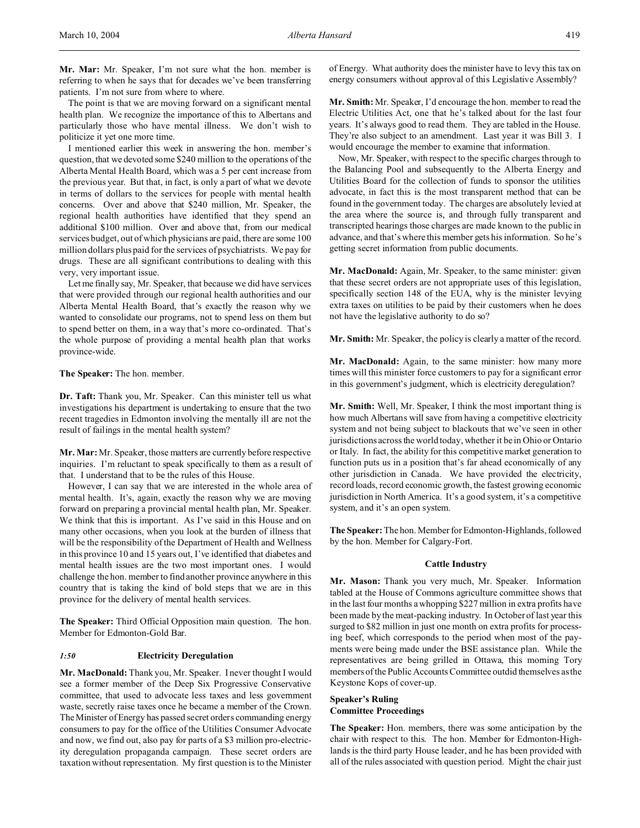The point is that we are moving forward on a significant mental health plan. We recognize the importance of this to Albertans and particularly those who have mental illness. We don't wish to politicize it yet one more time.

I mentioned earlier this week in answering the hon. member's question, that we devoted some \$240 million to the operations of the Alberta Mental Health Board, which was a 5 per cent increase from the previous year. But that, in fact, is only a part of what we devote in terms of dollars to the services for people with mental health concerns. Over and above that \$240 million, Mr. Speaker, the regional health authorities have identified that they spend an additional \$100 million. Over and above that, from our medical services budget, out of which physicians are paid, there are some 100 million dollars plus paid for the services of psychiatrists. We pay for drugs. These are all significant contributions to dealing with this very, very important issue.

Let me finally say, Mr. Speaker, that because we did have services that were provided through our regional health authorities and our Alberta Mental Health Board, that's exactly the reason why we wanted to consolidate our programs, not to spend less on them but to spend better on them, in a way that's more co-ordinated. That's the whole purpose of providing a mental health plan that works province-wide.

**The Speaker:** The hon. member.

**Dr. Taft:** Thank you, Mr. Speaker. Can this minister tell us what investigations his department is undertaking to ensure that the two recent tragedies in Edmonton involving the mentally ill are not the result of failings in the mental health system?

**Mr. Mar:** Mr. Speaker, those matters are currently before respective inquiries. I'm reluctant to speak specifically to them as a result of that. I understand that to be the rules of this House.

However, I can say that we are interested in the whole area of mental health. It's, again, exactly the reason why we are moving forward on preparing a provincial mental health plan, Mr. Speaker. We think that this is important. As I've said in this House and on many other occasions, when you look at the burden of illness that will be the responsibility of the Department of Health and Wellness in this province 10 and 15 years out, I've identified that diabetes and mental health issues are the two most important ones. I would challenge the hon. member to find another province anywhere in this country that is taking the kind of bold steps that we are in this province for the delivery of mental health services.

**The Speaker:** Third Official Opposition main question. The hon. Member for Edmonton-Gold Bar.

## *1:50* **Electricity Deregulation**

**Mr. MacDonald:** Thank you, Mr. Speaker. I never thought I would see a former member of the Deep Six Progressive Conservative committee, that used to advocate less taxes and less government waste, secretly raise taxes once he became a member of the Crown. The Minister of Energy has passed secret orders commanding energy consumers to pay for the office of the Utilities Consumer Advocate and now, we find out, also pay for parts of a \$3 million pro-electricity deregulation propaganda campaign. These secret orders are taxation without representation. My first question is to the Minister

of Energy. What authority does the minister have to levy this tax on energy consumers without approval of this Legislative Assembly?

**Mr. Smith:** Mr. Speaker, I'd encourage the hon. member to read the Electric Utilities Act, one that he's talked about for the last four years. It's always good to read them. They are tabled in the House. They're also subject to an amendment. Last year it was Bill 3. I would encourage the member to examine that information.

Now, Mr. Speaker, with respect to the specific charges through to the Balancing Pool and subsequently to the Alberta Energy and Utilities Board for the collection of funds to sponsor the utilities advocate, in fact this is the most transparent method that can be found in the government today. The charges are absolutely levied at the area where the source is, and through fully transparent and transcripted hearings those charges are made known to the public in advance, and that's where this member gets his information. So he's getting secret information from public documents.

**Mr. MacDonald:** Again, Mr. Speaker, to the same minister: given that these secret orders are not appropriate uses of this legislation, specifically section 148 of the EUA, why is the minister levying extra taxes on utilities to be paid by their customers when he does not have the legislative authority to do so?

**Mr. Smith:** Mr. Speaker, the policy is clearly a matter of the record.

**Mr. MacDonald:** Again, to the same minister: how many more times will this minister force customers to pay for a significant error in this government's judgment, which is electricity deregulation?

**Mr. Smith:** Well, Mr. Speaker, I think the most important thing is how much Albertans will save from having a competitive electricity system and not being subject to blackouts that we've seen in other jurisdictions across the world today, whether it be in Ohio or Ontario or Italy. In fact, the ability for this competitive market generation to function puts us in a position that's far ahead economically of any other jurisdiction in Canada. We have provided the electricity, record loads, record economic growth, the fastest growing economic jurisdiction in North America. It's a good system, it's a competitive system, and it's an open system.

**The Speaker:** The hon. Member for Edmonton-Highlands, followed by the hon. Member for Calgary-Fort.

## **Cattle Industry**

**Mr. Mason:** Thank you very much, Mr. Speaker. Information tabled at the House of Commons agriculture committee shows that in the last four months a whopping \$227 million in extra profits have been made by the meat-packing industry. In October of last year this surged to \$82 million in just one month on extra profits for processing beef, which corresponds to the period when most of the payments were being made under the BSE assistance plan. While the representatives are being grilled in Ottawa, this morning Tory members of the Public Accounts Committee outdid themselves as the Keystone Kops of cover-up.

## **Speaker's Ruling Committee Proceedings**

**The Speaker:** Hon. members, there was some anticipation by the chair with respect to this. The hon. Member for Edmonton-Highlands is the third party House leader, and he has been provided with all of the rules associated with question period. Might the chair just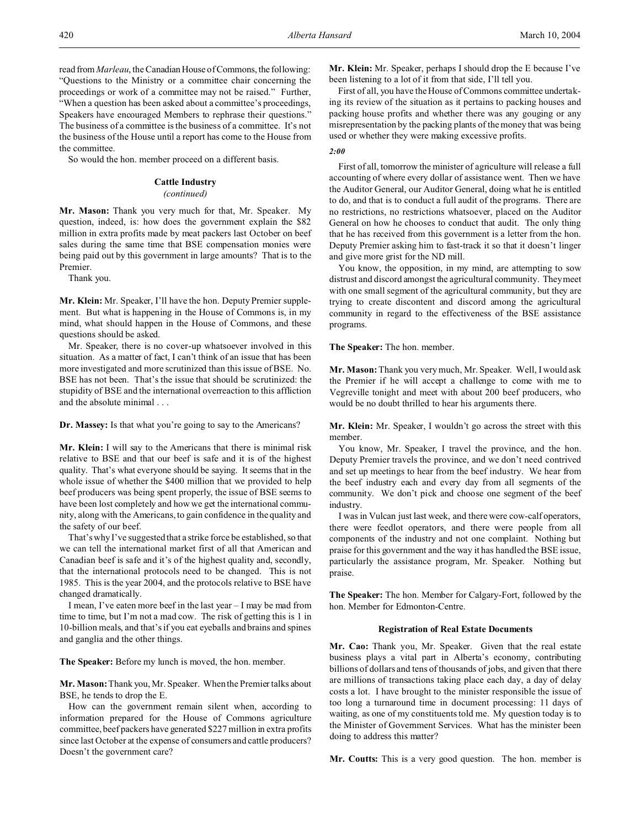read from *Marleau*, the Canadian House of Commons, the following: "Questions to the Ministry or a committee chair concerning the proceedings or work of a committee may not be raised." Further, "When a question has been asked about a committee's proceedings, Speakers have encouraged Members to rephrase their questions." The business of a committee is the business of a committee. It's not the business of the House until a report has come to the House from the committee.

So would the hon. member proceed on a different basis.

## **Cattle Industry**

## *(continued)*

**Mr. Mason:** Thank you very much for that, Mr. Speaker. My question, indeed, is: how does the government explain the \$82 million in extra profits made by meat packers last October on beef sales during the same time that BSE compensation monies were being paid out by this government in large amounts? That is to the Premier.

Thank you.

**Mr. Klein:** Mr. Speaker, I'll have the hon. Deputy Premier supplement. But what is happening in the House of Commons is, in my mind, what should happen in the House of Commons, and these questions should be asked.

Mr. Speaker, there is no cover-up whatsoever involved in this situation. As a matter of fact, I can't think of an issue that has been more investigated and more scrutinized than this issue of BSE. No. BSE has not been. That's the issue that should be scrutinized: the stupidity of BSE and the international overreaction to this affliction and the absolute minimal . . .

**Dr. Massey:** Is that what you're going to say to the Americans?

**Mr. Klein:** I will say to the Americans that there is minimal risk relative to BSE and that our beef is safe and it is of the highest quality. That's what everyone should be saying. It seems that in the whole issue of whether the \$400 million that we provided to help beef producers was being spent properly, the issue of BSE seems to have been lost completely and how we get the international community, along with the Americans, to gain confidence in the quality and the safety of our beef.

That's why I've suggested that a strike force be established, so that we can tell the international market first of all that American and Canadian beef is safe and it's of the highest quality and, secondly, that the international protocols need to be changed. This is not 1985. This is the year 2004, and the protocols relative to BSE have changed dramatically.

I mean, I've eaten more beef in the last year – I may be mad from time to time, but I'm not a mad cow. The risk of getting this is 1 in 10-billion meals, and that's if you eat eyeballs and brains and spines and ganglia and the other things.

**The Speaker:** Before my lunch is moved, the hon. member.

**Mr. Mason:** Thank you, Mr. Speaker. When the Premier talks about BSE, he tends to drop the E.

How can the government remain silent when, according to information prepared for the House of Commons agriculture committee, beef packers have generated \$227 million in extra profits since last October at the expense of consumers and cattle producers? Doesn't the government care?

**Mr. Klein:** Mr. Speaker, perhaps I should drop the E because I've been listening to a lot of it from that side, I'll tell you.

First of all, you have the House of Commons committee undertaking its review of the situation as it pertains to packing houses and packing house profits and whether there was any gouging or any misrepresentation by the packing plants of the money that was being used or whether they were making excessive profits.

*2:00*

First of all, tomorrow the minister of agriculture will release a full accounting of where every dollar of assistance went. Then we have the Auditor General, our Auditor General, doing what he is entitled to do, and that is to conduct a full audit of the programs. There are no restrictions, no restrictions whatsoever, placed on the Auditor General on how he chooses to conduct that audit. The only thing that he has received from this government is a letter from the hon. Deputy Premier asking him to fast-track it so that it doesn't linger and give more grist for the ND mill.

You know, the opposition, in my mind, are attempting to sow distrust and discord amongst the agricultural community. They meet with one small segment of the agricultural community, but they are trying to create discontent and discord among the agricultural community in regard to the effectiveness of the BSE assistance programs.

**The Speaker:** The hon. member.

**Mr. Mason:** Thank you very much, Mr. Speaker. Well, I would ask the Premier if he will accept a challenge to come with me to Vegreville tonight and meet with about 200 beef producers, who would be no doubt thrilled to hear his arguments there.

**Mr. Klein:** Mr. Speaker, I wouldn't go across the street with this member.

You know, Mr. Speaker, I travel the province, and the hon. Deputy Premier travels the province, and we don't need contrived and set up meetings to hear from the beef industry. We hear from the beef industry each and every day from all segments of the community. We don't pick and choose one segment of the beef industry.

I was in Vulcan just last week, and there were cow-calf operators, there were feedlot operators, and there were people from all components of the industry and not one complaint. Nothing but praise for this government and the way it has handled the BSE issue, particularly the assistance program, Mr. Speaker. Nothing but praise.

**The Speaker:** The hon. Member for Calgary-Fort, followed by the hon. Member for Edmonton-Centre.

## **Registration of Real Estate Documents**

**Mr. Cao:** Thank you, Mr. Speaker. Given that the real estate business plays a vital part in Alberta's economy, contributing billions of dollars and tens of thousands of jobs, and given that there are millions of transactions taking place each day, a day of delay costs a lot. I have brought to the minister responsible the issue of too long a turnaround time in document processing: 11 days of waiting, as one of my constituents told me. My question today is to the Minister of Government Services. What has the minister been doing to address this matter?

**Mr. Coutts:** This is a very good question. The hon. member is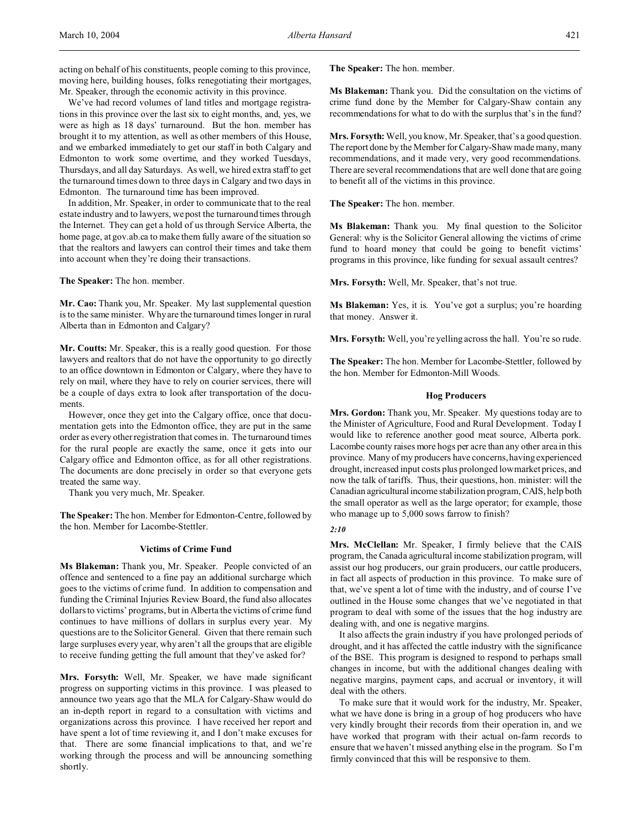We've had record volumes of land titles and mortgage registrations in this province over the last six to eight months, and, yes, we were as high as 18 days' turnaround. But the hon. member has brought it to my attention, as well as other members of this House, and we embarked immediately to get our staff in both Calgary and Edmonton to work some overtime, and they worked Tuesdays, Thursdays, and all day Saturdays. As well, we hired extra staff to get the turnaround times down to three days in Calgary and two days in Edmonton. The turnaround time has been improved.

In addition, Mr. Speaker, in order to communicate that to the real estate industry and to lawyers, we post the turnaround times through the Internet. They can get a hold of us through Service Alberta, the home page, at gov.ab.ca to make them fully aware of the situation so that the realtors and lawyers can control their times and take them into account when they're doing their transactions.

**The Speaker:** The hon. member.

**Mr. Cao:** Thank you, Mr. Speaker. My last supplemental question is to the same minister. Why are the turnaround times longer in rural Alberta than in Edmonton and Calgary?

**Mr. Coutts:** Mr. Speaker, this is a really good question. For those lawyers and realtors that do not have the opportunity to go directly to an office downtown in Edmonton or Calgary, where they have to rely on mail, where they have to rely on courier services, there will be a couple of days extra to look after transportation of the documents.

However, once they get into the Calgary office, once that documentation gets into the Edmonton office, they are put in the same order as every other registration that comes in. The turnaround times for the rural people are exactly the same, once it gets into our Calgary office and Edmonton office, as for all other registrations. The documents are done precisely in order so that everyone gets treated the same way.

Thank you very much, Mr. Speaker.

**The Speaker:** The hon. Member for Edmonton-Centre, followed by the hon. Member for Lacombe-Stettler.

## **Victims of Crime Fund**

**Ms Blakeman:** Thank you, Mr. Speaker. People convicted of an offence and sentenced to a fine pay an additional surcharge which goes to the victims of crime fund. In addition to compensation and funding the Criminal Injuries Review Board, the fund also allocates dollars to victims' programs, but in Alberta the victims of crime fund continues to have millions of dollars in surplus every year. My questions are to the Solicitor General. Given that there remain such large surpluses every year, why aren't all the groups that are eligible to receive funding getting the full amount that they've asked for?

**Mrs. Forsyth:** Well, Mr. Speaker, we have made significant progress on supporting victims in this province. I was pleased to announce two years ago that the MLA for Calgary-Shaw would do an in-depth report in regard to a consultation with victims and organizations across this province. I have received her report and have spent a lot of time reviewing it, and I don't make excuses for that. There are some financial implications to that, and we're working through the process and will be announcing something shortly.

**The Speaker:** The hon. member.

**Ms Blakeman:** Thank you. Did the consultation on the victims of crime fund done by the Member for Calgary-Shaw contain any recommendations for what to do with the surplus that's in the fund?

**Mrs. Forsyth:** Well, you know, Mr. Speaker, that's a good question. The report done by the Member for Calgary-Shaw made many, many recommendations, and it made very, very good recommendations. There are several recommendations that are well done that are going to benefit all of the victims in this province.

**The Speaker:** The hon. member.

**Ms Blakeman:** Thank you. My final question to the Solicitor General: why is the Solicitor General allowing the victims of crime fund to hoard money that could be going to benefit victims' programs in this province, like funding for sexual assault centres?

**Mrs. Forsyth:** Well, Mr. Speaker, that's not true.

**Ms Blakeman:** Yes, it is. You've got a surplus; you're hoarding that money. Answer it.

**Mrs. Forsyth:** Well, you're yelling across the hall. You're so rude.

**The Speaker:** The hon. Member for Lacombe-Stettler, followed by the hon. Member for Edmonton-Mill Woods.

## **Hog Producers**

**Mrs. Gordon:** Thank you, Mr. Speaker. My questions today are to the Minister of Agriculture, Food and Rural Development. Today I would like to reference another good meat source, Alberta pork. Lacombe county raises more hogs per acre than any other area in this province. Many of my producers have concerns, having experienced drought, increased input costs plus prolonged low market prices, and now the talk of tariffs. Thus, their questions, hon. minister: will the Canadian agricultural income stabilization program, CAIS, help both the small operator as well as the large operator; for example, those who manage up to 5,000 sows farrow to finish?

## *2:10*

**Mrs. McClellan:** Mr. Speaker, I firmly believe that the CAIS program, the Canada agricultural income stabilization program, will assist our hog producers, our grain producers, our cattle producers, in fact all aspects of production in this province. To make sure of that, we've spent a lot of time with the industry, and of course I've outlined in the House some changes that we've negotiated in that program to deal with some of the issues that the hog industry are dealing with, and one is negative margins.

It also affects the grain industry if you have prolonged periods of drought, and it has affected the cattle industry with the significance of the BSE. This program is designed to respond to perhaps small changes in income, but with the additional changes dealing with negative margins, payment caps, and accrual or inventory, it will deal with the others.

To make sure that it would work for the industry, Mr. Speaker, what we have done is bring in a group of hog producers who have very kindly brought their records from their operation in, and we have worked that program with their actual on-farm records to ensure that we haven't missed anything else in the program. So I'm firmly convinced that this will be responsive to them.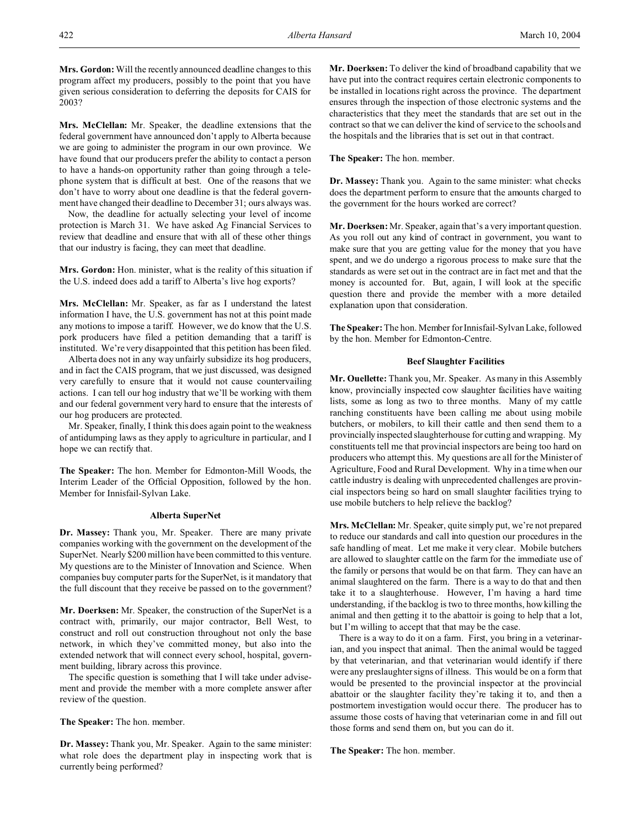**Mrs. Gordon:** Will the recently announced deadline changes to this program affect my producers, possibly to the point that you have given serious consideration to deferring the deposits for CAIS for 2003?

**Mrs. McClellan:** Mr. Speaker, the deadline extensions that the federal government have announced don't apply to Alberta because we are going to administer the program in our own province. We have found that our producers prefer the ability to contact a person to have a hands-on opportunity rather than going through a telephone system that is difficult at best. One of the reasons that we don't have to worry about one deadline is that the federal government have changed their deadline to December 31; ours always was.

Now, the deadline for actually selecting your level of income protection is March 31. We have asked Ag Financial Services to review that deadline and ensure that with all of these other things that our industry is facing, they can meet that deadline.

**Mrs. Gordon:** Hon. minister, what is the reality of this situation if the U.S. indeed does add a tariff to Alberta's live hog exports?

**Mrs. McClellan:** Mr. Speaker, as far as I understand the latest information I have, the U.S. government has not at this point made any motions to impose a tariff. However, we do know that the U.S. pork producers have filed a petition demanding that a tariff is instituted. We're very disappointed that this petition has been filed.

Alberta does not in any way unfairly subsidize its hog producers, and in fact the CAIS program, that we just discussed, was designed very carefully to ensure that it would not cause countervailing actions. I can tell our hog industry that we'll be working with them and our federal government very hard to ensure that the interests of our hog producers are protected.

Mr. Speaker, finally, I think this does again point to the weakness of antidumping laws as they apply to agriculture in particular, and I hope we can rectify that.

**The Speaker:** The hon. Member for Edmonton-Mill Woods, the Interim Leader of the Official Opposition, followed by the hon. Member for Innisfail-Sylvan Lake.

## **Alberta SuperNet**

**Dr. Massey:** Thank you, Mr. Speaker. There are many private companies working with the government on the development of the SuperNet. Nearly \$200 million have been committed to this venture. My questions are to the Minister of Innovation and Science. When companies buy computer parts for the SuperNet, is it mandatory that the full discount that they receive be passed on to the government?

**Mr. Doerksen:** Mr. Speaker, the construction of the SuperNet is a contract with, primarily, our major contractor, Bell West, to construct and roll out construction throughout not only the base network, in which they've committed money, but also into the extended network that will connect every school, hospital, government building, library across this province.

The specific question is something that I will take under advisement and provide the member with a more complete answer after review of the question.

## **The Speaker:** The hon. member.

**Dr. Massey:** Thank you, Mr. Speaker. Again to the same minister: what role does the department play in inspecting work that is currently being performed?

**Mr. Doerksen:** To deliver the kind of broadband capability that we have put into the contract requires certain electronic components to be installed in locations right across the province. The department ensures through the inspection of those electronic systems and the characteristics that they meet the standards that are set out in the contract so that we can deliver the kind of service to the schools and the hospitals and the libraries that is set out in that contract.

**The Speaker:** The hon. member.

**Dr. Massey:** Thank you. Again to the same minister: what checks does the department perform to ensure that the amounts charged to the government for the hours worked are correct?

**Mr. Doerksen:** Mr. Speaker, again that's a very important question. As you roll out any kind of contract in government, you want to make sure that you are getting value for the money that you have spent, and we do undergo a rigorous process to make sure that the standards as were set out in the contract are in fact met and that the money is accounted for. But, again, I will look at the specific question there and provide the member with a more detailed explanation upon that consideration.

**The Speaker:** The hon. Member for Innisfail-Sylvan Lake, followed by the hon. Member for Edmonton-Centre.

## **Beef Slaughter Facilities**

**Mr. Ouellette:** Thank you, Mr. Speaker. As many in this Assembly know, provincially inspected cow slaughter facilities have waiting lists, some as long as two to three months. Many of my cattle ranching constituents have been calling me about using mobile butchers, or mobilers, to kill their cattle and then send them to a provincially inspected slaughterhouse for cutting and wrapping. My constituents tell me that provincial inspectors are being too hard on producers who attempt this. My questions are all for the Minister of Agriculture, Food and Rural Development. Why in a time when our cattle industry is dealing with unprecedented challenges are provincial inspectors being so hard on small slaughter facilities trying to use mobile butchers to help relieve the backlog?

**Mrs. McClellan:** Mr. Speaker, quite simply put, we're not prepared to reduce our standards and call into question our procedures in the safe handling of meat. Let me make it very clear. Mobile butchers are allowed to slaughter cattle on the farm for the immediate use of the family or persons that would be on that farm. They can have an animal slaughtered on the farm. There is a way to do that and then take it to a slaughterhouse. However, I'm having a hard time understanding, if the backlog is two to three months, how killing the animal and then getting it to the abattoir is going to help that a lot, but I'm willing to accept that that may be the case.

There is a way to do it on a farm. First, you bring in a veterinarian, and you inspect that animal. Then the animal would be tagged by that veterinarian, and that veterinarian would identify if there were any preslaughter signs of illness. This would be on a form that would be presented to the provincial inspector at the provincial abattoir or the slaughter facility they're taking it to, and then a postmortem investigation would occur there. The producer has to assume those costs of having that veterinarian come in and fill out those forms and send them on, but you can do it.

**The Speaker:** The hon. member.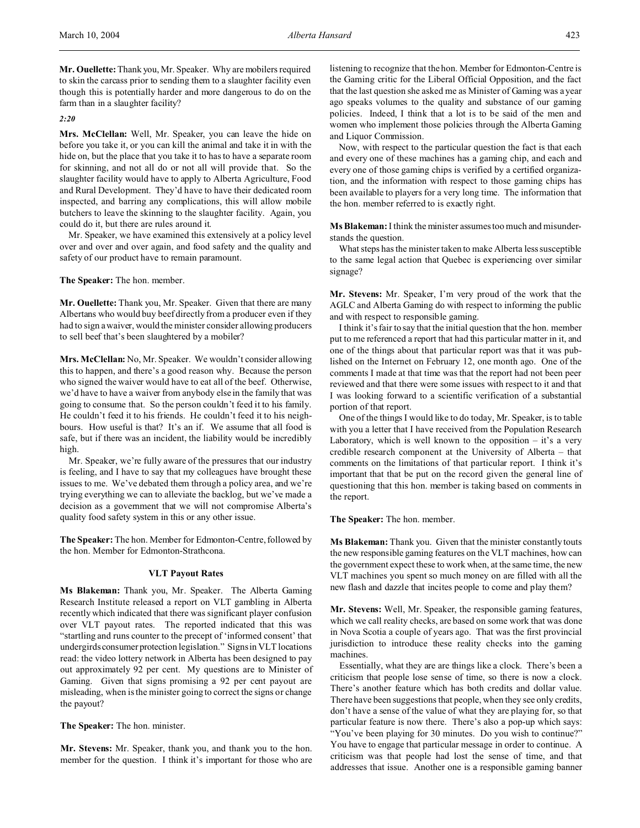**Mr. Ouellette:**Thank you, Mr. Speaker. Why are mobilers required to skin the carcass prior to sending them to a slaughter facility even though this is potentially harder and more dangerous to do on the farm than in a slaughter facility?

*2:20*

**Mrs. McClellan:** Well, Mr. Speaker, you can leave the hide on before you take it, or you can kill the animal and take it in with the hide on, but the place that you take it to has to have a separate room for skinning, and not all do or not all will provide that. So the slaughter facility would have to apply to Alberta Agriculture, Food and Rural Development. They'd have to have their dedicated room inspected, and barring any complications, this will allow mobile butchers to leave the skinning to the slaughter facility. Again, you could do it, but there are rules around it.

Mr. Speaker, we have examined this extensively at a policy level over and over and over again, and food safety and the quality and safety of our product have to remain paramount.

**The Speaker:** The hon. member.

**Mr. Ouellette:** Thank you, Mr. Speaker. Given that there are many Albertans who would buy beef directly from a producer even if they had to sign a waiver, would the minister consider allowing producers to sell beef that's been slaughtered by a mobiler?

**Mrs. McClellan:** No, Mr. Speaker. We wouldn't consider allowing this to happen, and there's a good reason why. Because the person who signed the waiver would have to eat all of the beef. Otherwise, we'd have to have a waiver from anybody else in the family that was going to consume that. So the person couldn't feed it to his family. He couldn't feed it to his friends. He couldn't feed it to his neighbours. How useful is that? It's an if. We assume that all food is safe, but if there was an incident, the liability would be incredibly high.

Mr. Speaker, we're fully aware of the pressures that our industry is feeling, and I have to say that my colleagues have brought these issues to me. We've debated them through a policy area, and we're trying everything we can to alleviate the backlog, but we've made a decision as a government that we will not compromise Alberta's quality food safety system in this or any other issue.

**The Speaker:** The hon. Member for Edmonton-Centre, followed by the hon. Member for Edmonton-Strathcona.

## **VLT Payout Rates**

**Ms Blakeman:** Thank you, Mr. Speaker. The Alberta Gaming Research Institute released a report on VLT gambling in Alberta recently which indicated that there was significant player confusion over VLT payout rates. The reported indicated that this was "startling and runs counter to the precept of 'informed consent' that undergirds consumer protection legislation." Signs in VLT locations read: the video lottery network in Alberta has been designed to pay out approximately 92 per cent. My questions are to Minister of Gaming. Given that signs promising a 92 per cent payout are misleading, when is the minister going to correct the signs or change the payout?

**The Speaker:** The hon. minister.

**Mr. Stevens:** Mr. Speaker, thank you, and thank you to the hon. member for the question. I think it's important for those who are

listening to recognize that the hon. Member for Edmonton-Centre is the Gaming critic for the Liberal Official Opposition, and the fact that the last question she asked me as Minister of Gaming was a year ago speaks volumes to the quality and substance of our gaming policies. Indeed, I think that a lot is to be said of the men and women who implement those policies through the Alberta Gaming and Liquor Commission.

Now, with respect to the particular question the fact is that each and every one of these machines has a gaming chip, and each and every one of those gaming chips is verified by a certified organization, and the information with respect to those gaming chips has been available to players for a very long time. The information that the hon. member referred to is exactly right.

**Ms Blakeman:** I think the minister assumes too much and misunderstands the question.

What steps has the minister taken to make Alberta less susceptible to the same legal action that Quebec is experiencing over similar signage?

**Mr. Stevens:** Mr. Speaker, I'm very proud of the work that the AGLC and Alberta Gaming do with respect to informing the public and with respect to responsible gaming.

I think it's fair to say that the initial question that the hon. member put to me referenced a report that had this particular matter in it, and one of the things about that particular report was that it was published on the Internet on February 12, one month ago. One of the comments I made at that time was that the report had not been peer reviewed and that there were some issues with respect to it and that I was looking forward to a scientific verification of a substantial portion of that report.

One of the things I would like to do today, Mr. Speaker, is to table with you a letter that I have received from the Population Research Laboratory, which is well known to the opposition  $-$  it's a very credible research component at the University of Alberta – that comments on the limitations of that particular report. I think it's important that that be put on the record given the general line of questioning that this hon. member is taking based on comments in the report.

**The Speaker:** The hon. member.

**Ms Blakeman:** Thank you. Given that the minister constantly touts the new responsible gaming features on the VLT machines, how can the government expect these to work when, at the same time, the new VLT machines you spent so much money on are filled with all the new flash and dazzle that incites people to come and play them?

**Mr. Stevens:** Well, Mr. Speaker, the responsible gaming features, which we call reality checks, are based on some work that was done in Nova Scotia a couple of years ago. That was the first provincial jurisdiction to introduce these reality checks into the gaming machines.

Essentially, what they are are things like a clock. There's been a criticism that people lose sense of time, so there is now a clock. There's another feature which has both credits and dollar value. There have been suggestions that people, when they see only credits, don't have a sense of the value of what they are playing for, so that particular feature is now there. There's also a pop-up which says: "You've been playing for 30 minutes. Do you wish to continue?" You have to engage that particular message in order to continue. A criticism was that people had lost the sense of time, and that addresses that issue. Another one is a responsible gaming banner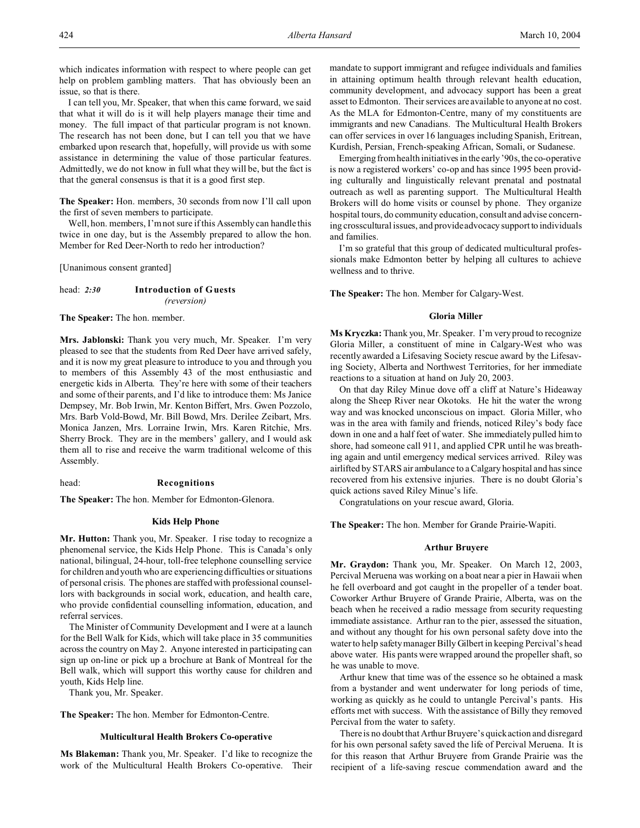which indicates information with respect to where people can get help on problem gambling matters. That has obviously been an issue, so that is there.

I can tell you, Mr. Speaker, that when this came forward, we said that what it will do is it will help players manage their time and money. The full impact of that particular program is not known. The research has not been done, but I can tell you that we have embarked upon research that, hopefully, will provide us with some assistance in determining the value of those particular features. Admittedly, we do not know in full what they will be, but the fact is that the general consensus is that it is a good first step.

**The Speaker:** Hon. members, 30 seconds from now I'll call upon the first of seven members to participate.

Well, hon. members, I'm not sure if this Assembly can handle this twice in one day, but is the Assembly prepared to allow the hon. Member for Red Deer-North to redo her introduction?

[Unanimous consent granted]

## head: *2:30* **Introduction of Guests** *(reversion)*

**The Speaker:** The hon. member.

**Mrs. Jablonski:** Thank you very much, Mr. Speaker. I'm very pleased to see that the students from Red Deer have arrived safely, and it is now my great pleasure to introduce to you and through you to members of this Assembly 43 of the most enthusiastic and energetic kids in Alberta. They're here with some of their teachers and some of their parents, and I'd like to introduce them: Ms Janice Dempsey, Mr. Bob Irwin, Mr. Kenton Biffert, Mrs. Gwen Pozzolo, Mrs. Barb Vold-Bowd, Mr. Bill Bowd, Mrs. Derilee Zeibart, Mrs. Monica Janzen, Mrs. Lorraine Irwin, Mrs. Karen Ritchie, Mrs. Sherry Brock. They are in the members' gallery, and I would ask them all to rise and receive the warm traditional welcome of this Assembly.

## head: **Recognitions**

**The Speaker:** The hon. Member for Edmonton-Glenora.

## **Kids Help Phone**

**Mr. Hutton:** Thank you, Mr. Speaker. I rise today to recognize a phenomenal service, the Kids Help Phone. This is Canada's only national, bilingual, 24-hour, toll-free telephone counselling service for children and youth who are experiencing difficulties or situations of personal crisis. The phones are staffed with professional counsellors with backgrounds in social work, education, and health care, who provide confidential counselling information, education, and referral services.

The Minister of Community Development and I were at a launch for the Bell Walk for Kids, which will take place in 35 communities across the country on May 2. Anyone interested in participating can sign up on-line or pick up a brochure at Bank of Montreal for the Bell walk, which will support this worthy cause for children and youth, Kids Help line.

Thank you, Mr. Speaker.

**The Speaker:** The hon. Member for Edmonton-Centre.

#### **Multicultural Health Brokers Co-operative**

**Ms Blakeman:** Thank you, Mr. Speaker. I'd like to recognize the work of the Multicultural Health Brokers Co-operative. Their mandate to support immigrant and refugee individuals and families in attaining optimum health through relevant health education, community development, and advocacy support has been a great asset to Edmonton. Their services are available to anyone at no cost. As the MLA for Edmonton-Centre, many of my constituents are immigrants and new Canadians. The Multicultural Health Brokers can offer services in over 16 languages including Spanish, Eritrean, Kurdish, Persian, French-speaking African, Somali, or Sudanese.

Emerging from health initiatives in the early '90s, the co-operative is now a registered workers' co-op and has since 1995 been providing culturally and linguistically relevant prenatal and postnatal outreach as well as parenting support. The Multicultural Health Brokers will do home visits or counsel by phone. They organize hospital tours, do community education, consult and advise concerning crosscultural issues, and provide advocacy support to individuals and families.

I'm so grateful that this group of dedicated multicultural professionals make Edmonton better by helping all cultures to achieve wellness and to thrive.

**The Speaker:** The hon. Member for Calgary-West.

## **Gloria Miller**

**Ms Kryczka:** Thank you, Mr. Speaker. I'm very proud to recognize Gloria Miller, a constituent of mine in Calgary-West who was recently awarded a Lifesaving Society rescue award by the Lifesaving Society, Alberta and Northwest Territories, for her immediate reactions to a situation at hand on July 20, 2003.

On that day Riley Minue dove off a cliff at Nature's Hideaway along the Sheep River near Okotoks. He hit the water the wrong way and was knocked unconscious on impact. Gloria Miller, who was in the area with family and friends, noticed Riley's body face down in one and a half feet of water. She immediately pulled him to shore, had someone call 911, and applied CPR until he was breathing again and until emergency medical services arrived. Riley was airlifted by STARS air ambulance to a Calgary hospital and has since recovered from his extensive injuries. There is no doubt Gloria's quick actions saved Riley Minue's life.

Congratulations on your rescue award, Gloria.

**The Speaker:** The hon. Member for Grande Prairie-Wapiti.

## **Arthur Bruyere**

**Mr. Graydon:** Thank you, Mr. Speaker. On March 12, 2003, Percival Meruena was working on a boat near a pier in Hawaii when he fell overboard and got caught in the propeller of a tender boat. Coworker Arthur Bruyere of Grande Prairie, Alberta, was on the beach when he received a radio message from security requesting immediate assistance. Arthur ran to the pier, assessed the situation, and without any thought for his own personal safety dove into the water to help safety manager Billy Gilbert in keeping Percival's head above water. His pants were wrapped around the propeller shaft, so he was unable to move.

Arthur knew that time was of the essence so he obtained a mask from a bystander and went underwater for long periods of time, working as quickly as he could to untangle Percival's pants. His efforts met with success. With the assistance of Billy they removed Percival from the water to safety.

There is no doubt that Arthur Bruyere's quick action and disregard for his own personal safety saved the life of Percival Meruena. It is for this reason that Arthur Bruyere from Grande Prairie was the recipient of a life-saving rescue commendation award and the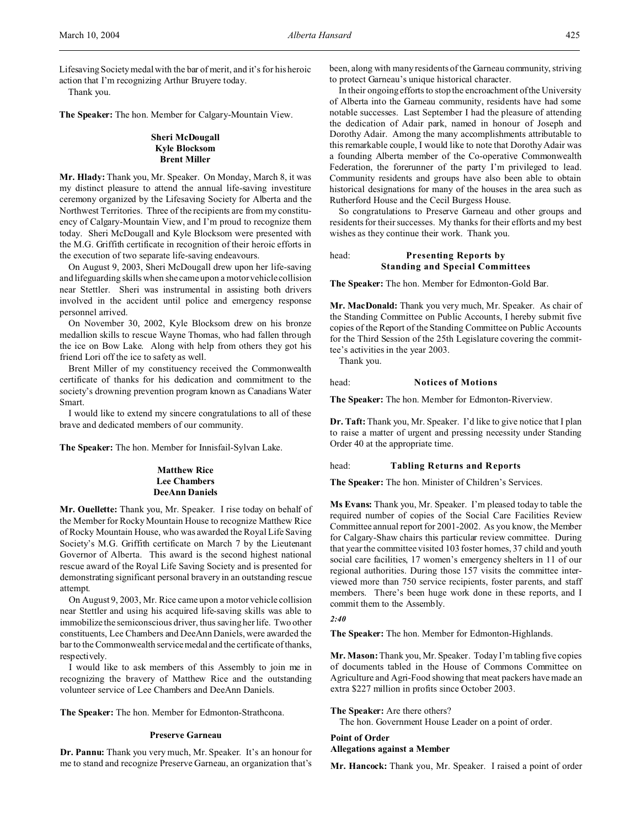Lifesaving Society medal with the bar of merit, and it's for his heroic action that I'm recognizing Arthur Bruyere today.

Thank you.

**The Speaker:** The hon. Member for Calgary-Mountain View.

## **Sheri McDougall Kyle Blocksom Brent Miller**

**Mr. Hlady:** Thank you, Mr. Speaker. On Monday, March 8, it was my distinct pleasure to attend the annual life-saving investiture ceremony organized by the Lifesaving Society for Alberta and the Northwest Territories. Three of the recipients are from my constituency of Calgary-Mountain View, and I'm proud to recognize them today. Sheri McDougall and Kyle Blocksom were presented with the M.G. Griffith certificate in recognition of their heroic efforts in the execution of two separate life-saving endeavours.

On August 9, 2003, Sheri McDougall drew upon her life-saving and lifeguarding skills when she came upon a motor vehicle collision near Stettler. Sheri was instrumental in assisting both drivers involved in the accident until police and emergency response personnel arrived.

On November 30, 2002, Kyle Blocksom drew on his bronze medallion skills to rescue Wayne Thomas, who had fallen through the ice on Bow Lake. Along with help from others they got his friend Lori off the ice to safety as well.

Brent Miller of my constituency received the Commonwealth certificate of thanks for his dedication and commitment to the society's drowning prevention program known as Canadians Water Smart.

I would like to extend my sincere congratulations to all of these brave and dedicated members of our community.

**The Speaker:** The hon. Member for Innisfail-Sylvan Lake.

## **Matthew Rice Lee Chambers DeeAnn Daniels**

**Mr. Ouellette:** Thank you, Mr. Speaker. I rise today on behalf of the Member for Rocky Mountain House to recognize Matthew Rice of Rocky Mountain House, who was awarded the Royal Life Saving Society's M.G. Griffith certificate on March 7 by the Lieutenant Governor of Alberta. This award is the second highest national rescue award of the Royal Life Saving Society and is presented for demonstrating significant personal bravery in an outstanding rescue attempt.

On August 9, 2003, Mr. Rice came upon a motor vehicle collision near Stettler and using his acquired life-saving skills was able to immobilize the semiconscious driver, thus saving her life. Two other constituents, Lee Chambers and DeeAnn Daniels, were awarded the bar to the Commonwealth service medal and the certificate of thanks, respectively.

I would like to ask members of this Assembly to join me in recognizing the bravery of Matthew Rice and the outstanding volunteer service of Lee Chambers and DeeAnn Daniels.

**The Speaker:** The hon. Member for Edmonton-Strathcona.

## **Preserve Garneau**

**Dr. Pannu:** Thank you very much, Mr. Speaker. It's an honour for me to stand and recognize Preserve Garneau, an organization that's

been, along with many residents of the Garneau community, striving to protect Garneau's unique historical character.

In their ongoing efforts to stop the encroachment of the University of Alberta into the Garneau community, residents have had some notable successes. Last September I had the pleasure of attending the dedication of Adair park, named in honour of Joseph and Dorothy Adair. Among the many accomplishments attributable to this remarkable couple, I would like to note that Dorothy Adair was a founding Alberta member of the Co-operative Commonwealth Federation, the forerunner of the party I'm privileged to lead. Community residents and groups have also been able to obtain historical designations for many of the houses in the area such as Rutherford House and the Cecil Burgess House.

So congratulations to Preserve Garneau and other groups and residents for their successes. My thanks for their efforts and my best wishes as they continue their work. Thank you.

## head: **Presenting Reports by Standing and Special Committees**

**The Speaker:** The hon. Member for Edmonton-Gold Bar.

**Mr. MacDonald:** Thank you very much, Mr. Speaker. As chair of the Standing Committee on Public Accounts, I hereby submit five copies of the Report of the Standing Committee on Public Accounts for the Third Session of the 25th Legislature covering the committee's activities in the year 2003.

Thank you.

#### head: **Notices of Motions**

**The Speaker:** The hon. Member for Edmonton-Riverview.

**Dr. Taft:**Thank you, Mr. Speaker. I'd like to give notice that I plan to raise a matter of urgent and pressing necessity under Standing Order 40 at the appropriate time.

## head: **Tabling Returns and Reports**

**The Speaker:** The hon. Minister of Children's Services.

**Ms Evans:** Thank you, Mr. Speaker. I'm pleased today to table the required number of copies of the Social Care Facilities Review Committee annual report for 2001-2002. As you know, the Member for Calgary-Shaw chairs this particular review committee. During that year the committee visited 103 foster homes, 37 child and youth social care facilities, 17 women's emergency shelters in 11 of our regional authorities. During those 157 visits the committee interviewed more than 750 service recipients, foster parents, and staff members. There's been huge work done in these reports, and I commit them to the Assembly.

*2:40*

**The Speaker:** The hon. Member for Edmonton-Highlands.

**Mr. Mason:** Thank you, Mr. Speaker. Today I'm tabling five copies of documents tabled in the House of Commons Committee on Agriculture and Agri-Food showing that meat packers have made an extra \$227 million in profits since October 2003.

**The Speaker:** Are there others?

The hon. Government House Leader on a point of order.

## **Point of Order Allegations against a Member**

**Mr. Hancock:** Thank you, Mr. Speaker. I raised a point of order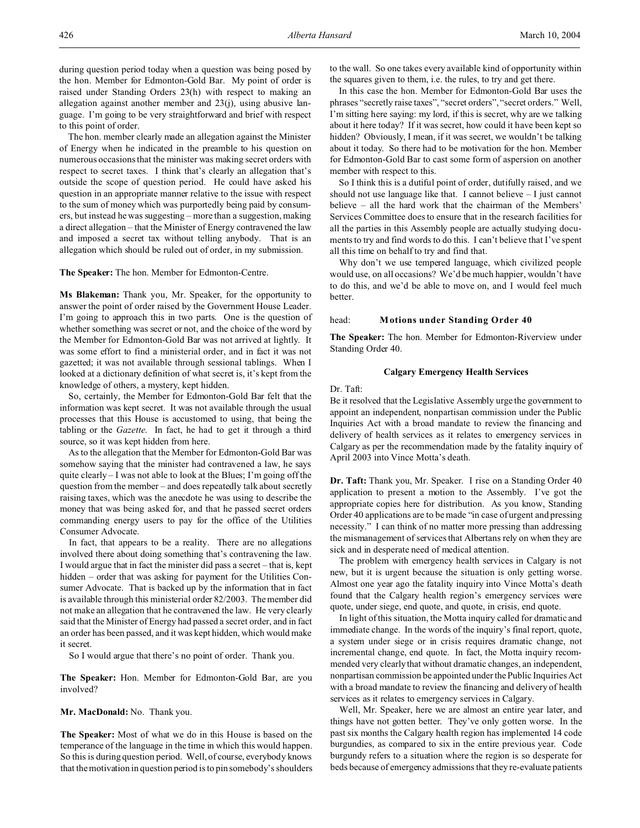The hon. member clearly made an allegation against the Minister of Energy when he indicated in the preamble to his question on numerous occasions that the minister was making secret orders with respect to secret taxes. I think that's clearly an allegation that's outside the scope of question period. He could have asked his question in an appropriate manner relative to the issue with respect to the sum of money which was purportedly being paid by consumers, but instead he was suggesting – more than a suggestion, making a direct allegation – that the Minister of Energy contravened the law and imposed a secret tax without telling anybody. That is an allegation which should be ruled out of order, in my submission.

**The Speaker:** The hon. Member for Edmonton-Centre.

**Ms Blakeman:** Thank you, Mr. Speaker, for the opportunity to answer the point of order raised by the Government House Leader. I'm going to approach this in two parts. One is the question of whether something was secret or not, and the choice of the word by the Member for Edmonton-Gold Bar was not arrived at lightly. It was some effort to find a ministerial order, and in fact it was not gazetted; it was not available through sessional tablings. When I looked at a dictionary definition of what secret is, it's kept from the knowledge of others, a mystery, kept hidden.

So, certainly, the Member for Edmonton-Gold Bar felt that the information was kept secret. It was not available through the usual processes that this House is accustomed to using, that being the tabling or the *Gazette*. In fact, he had to get it through a third source, so it was kept hidden from here.

As to the allegation that the Member for Edmonton-Gold Bar was somehow saying that the minister had contravened a law, he says quite clearly – I was not able to look at the Blues; I'm going off the question from the member – and does repeatedly talk about secretly raising taxes, which was the anecdote he was using to describe the money that was being asked for, and that he passed secret orders commanding energy users to pay for the office of the Utilities Consumer Advocate.

In fact, that appears to be a reality. There are no allegations involved there about doing something that's contravening the law. I would argue that in fact the minister did pass a secret – that is, kept hidden – order that was asking for payment for the Utilities Consumer Advocate. That is backed up by the information that in fact is available through this ministerial order 82/2003. The member did not make an allegation that he contravened the law. He very clearly said that the Minister of Energy had passed a secret order, and in fact an order has been passed, and it was kept hidden, which would make it secret.

So I would argue that there's no point of order. Thank you.

**The Speaker:** Hon. Member for Edmonton-Gold Bar, are you involved?

**Mr. MacDonald:** No. Thank you.

**The Speaker:** Most of what we do in this House is based on the temperance of the language in the time in which this would happen. So this is during question period. Well, of course, everybody knows that the motivation in question period is to pin somebody's shoulders to the wall. So one takes every available kind of opportunity within the squares given to them, i.e. the rules, to try and get there.

In this case the hon. Member for Edmonton-Gold Bar uses the phrases "secretly raise taxes", "secret orders", "secret orders." Well, I'm sitting here saying: my lord, if this is secret, why are we talking about it here today? If it was secret, how could it have been kept so hidden? Obviously, I mean, if it was secret, we wouldn't be talking about it today. So there had to be motivation for the hon. Member for Edmonton-Gold Bar to cast some form of aspersion on another member with respect to this.

So I think this is a dutiful point of order, dutifully raised, and we should not use language like that. I cannot believe – I just cannot believe – all the hard work that the chairman of the Members' Services Committee does to ensure that in the research facilities for all the parties in this Assembly people are actually studying documents to try and find words to do this. I can't believe that I've spent all this time on behalf to try and find that.

Why don't we use tempered language, which civilized people would use, on all occasions? We'd be much happier, wouldn't have to do this, and we'd be able to move on, and I would feel much better.

## head: **Motions under Standing Order 40**

**The Speaker:** The hon. Member for Edmonton-Riverview under Standing Order 40.

## **Calgary Emergency Health Services**

Dr. Taft:

Be it resolved that the Legislative Assembly urge the government to appoint an independent, nonpartisan commission under the Public Inquiries Act with a broad mandate to review the financing and delivery of health services as it relates to emergency services in Calgary as per the recommendation made by the fatality inquiry of April 2003 into Vince Motta's death.

**Dr. Taft:** Thank you, Mr. Speaker. I rise on a Standing Order 40 application to present a motion to the Assembly. I've got the appropriate copies here for distribution. As you know, Standing Order 40 applications are to be made "in case of urgent and pressing necessity." I can think of no matter more pressing than addressing the mismanagement of services that Albertans rely on when they are sick and in desperate need of medical attention.

The problem with emergency health services in Calgary is not new, but it is urgent because the situation is only getting worse. Almost one year ago the fatality inquiry into Vince Motta's death found that the Calgary health region's emergency services were quote, under siege, end quote, and quote, in crisis, end quote.

In light of this situation, the Motta inquiry called for dramatic and immediate change. In the words of the inquiry's final report, quote, a system under siege or in crisis requires dramatic change, not incremental change, end quote. In fact, the Motta inquiry recommended very clearly that without dramatic changes, an independent, nonpartisan commission be appointed under the Public Inquiries Act with a broad mandate to review the financing and delivery of health services as it relates to emergency services in Calgary.

Well, Mr. Speaker, here we are almost an entire year later, and things have not gotten better. They've only gotten worse. In the past six months the Calgary health region has implemented 14 code burgundies, as compared to six in the entire previous year. Code burgundy refers to a situation where the region is so desperate for beds because of emergency admissions that they re-evaluate patients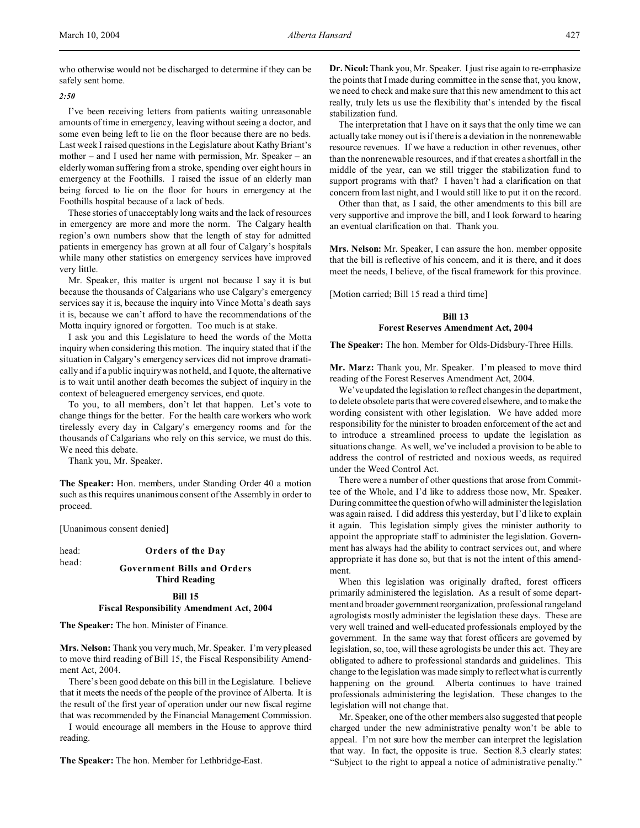who otherwise would not be discharged to determine if they can be safely sent home.

## *2:50*

I've been receiving letters from patients waiting unreasonable amounts of time in emergency, leaving without seeing a doctor, and some even being left to lie on the floor because there are no beds. Last week I raised questions in the Legislature about Kathy Briant's mother – and I used her name with permission, Mr. Speaker – an elderly woman suffering from a stroke, spending over eight hours in emergency at the Foothills. I raised the issue of an elderly man being forced to lie on the floor for hours in emergency at the Foothills hospital because of a lack of beds.

These stories of unacceptably long waits and the lack of resources in emergency are more and more the norm. The Calgary health region's own numbers show that the length of stay for admitted patients in emergency has grown at all four of Calgary's hospitals while many other statistics on emergency services have improved very little.

Mr. Speaker, this matter is urgent not because I say it is but because the thousands of Calgarians who use Calgary's emergency services say it is, because the inquiry into Vince Motta's death says it is, because we can't afford to have the recommendations of the Motta inquiry ignored or forgotten. Too much is at stake.

I ask you and this Legislature to heed the words of the Motta inquiry when considering this motion. The inquiry stated that if the situation in Calgary's emergency services did not improve dramatically and if a public inquiry was not held, and I quote, the alternative is to wait until another death becomes the subject of inquiry in the context of beleaguered emergency services, end quote.

To you, to all members, don't let that happen. Let's vote to change things for the better. For the health care workers who work tirelessly every day in Calgary's emergency rooms and for the thousands of Calgarians who rely on this service, we must do this. We need this debate.

Thank you, Mr. Speaker.

**The Speaker:** Hon. members, under Standing Order 40 a motion such as this requires unanimous consent of the Assembly in order to proceed.

[Unanimous consent denied]

head: **Orders of the Day**

# head: **Government Bills and Orders Third Reading**

# **Bill 15**

**Fiscal Responsibility Amendment Act, 2004**

**The Speaker:** The hon. Minister of Finance.

**Mrs. Nelson:** Thank you very much, Mr. Speaker. I'm very pleased to move third reading of Bill 15, the Fiscal Responsibility Amendment Act, 2004.

There's been good debate on this bill in the Legislature. I believe that it meets the needs of the people of the province of Alberta. It is the result of the first year of operation under our new fiscal regime that was recommended by the Financial Management Commission.

I would encourage all members in the House to approve third reading.

**The Speaker:** The hon. Member for Lethbridge-East.

**Dr. Nicol:** Thank you, Mr. Speaker. I just rise again to re-emphasize the points that I made during committee in the sense that, you know, we need to check and make sure that this new amendment to this act really, truly lets us use the flexibility that's intended by the fiscal stabilization fund.

The interpretation that I have on it says that the only time we can actually take money out is if there is a deviation in the nonrenewable resource revenues. If we have a reduction in other revenues, other than the nonrenewable resources, and if that creates a shortfall in the middle of the year, can we still trigger the stabilization fund to support programs with that? I haven't had a clarification on that concern from last night, and I would still like to put it on the record.

Other than that, as I said, the other amendments to this bill are very supportive and improve the bill, and I look forward to hearing an eventual clarification on that. Thank you.

**Mrs. Nelson:** Mr. Speaker, I can assure the hon. member opposite that the bill is reflective of his concern, and it is there, and it does meet the needs, I believe, of the fiscal framework for this province.

[Motion carried; Bill 15 read a third time]

## **Bill 13 Forest Reserves Amendment Act, 2004**

**The Speaker:** The hon. Member for Olds-Didsbury-Three Hills.

**Mr. Marz:** Thank you, Mr. Speaker. I'm pleased to move third reading of the Forest Reserves Amendment Act, 2004.

We've updated the legislation to reflect changes in the department, to delete obsolete parts that were covered elsewhere, and to make the wording consistent with other legislation. We have added more responsibility for the minister to broaden enforcement of the act and to introduce a streamlined process to update the legislation as situations change. As well, we've included a provision to be able to address the control of restricted and noxious weeds, as required under the Weed Control Act.

There were a number of other questions that arose from Committee of the Whole, and I'd like to address those now, Mr. Speaker. During committee the question of who will administer the legislation was again raised. I did address this yesterday, but I'd like to explain it again. This legislation simply gives the minister authority to appoint the appropriate staff to administer the legislation. Government has always had the ability to contract services out, and where appropriate it has done so, but that is not the intent of this amendment.

When this legislation was originally drafted, forest officers primarily administered the legislation. As a result of some department and broader government reorganization, professional rangeland agrologists mostly administer the legislation these days. These are very well trained and well-educated professionals employed by the government. In the same way that forest officers are governed by legislation, so, too, will these agrologists be under this act. They are obligated to adhere to professional standards and guidelines. This change to the legislation was made simply to reflect what is currently happening on the ground. Alberta continues to have trained professionals administering the legislation. These changes to the legislation will not change that.

Mr. Speaker, one of the other members also suggested that people charged under the new administrative penalty won't be able to appeal. I'm not sure how the member can interpret the legislation that way. In fact, the opposite is true. Section 8.3 clearly states: "Subject to the right to appeal a notice of administrative penalty."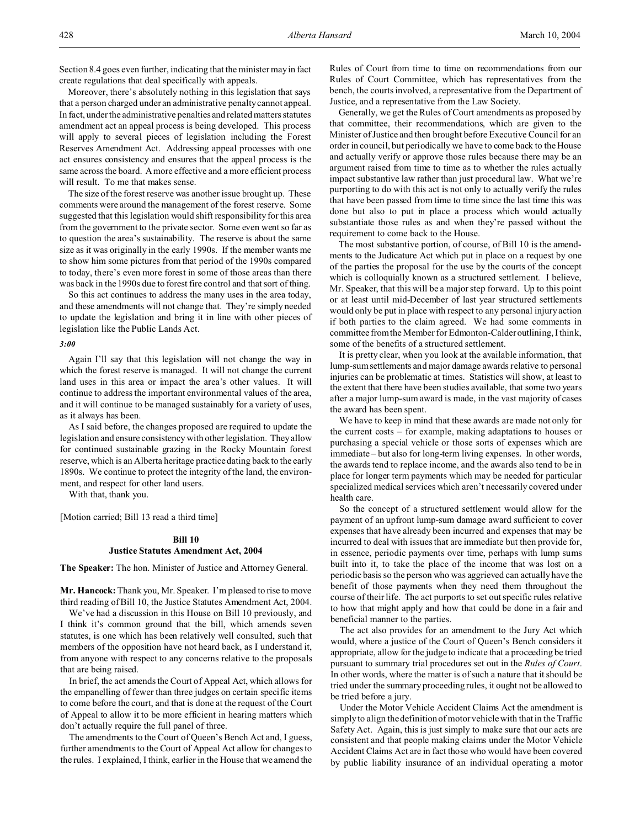Moreover, there's absolutely nothing in this legislation that says that a person charged under an administrative penalty cannot appeal. In fact, under the administrative penalties and related matters statutes amendment act an appeal process is being developed. This process will apply to several pieces of legislation including the Forest Reserves Amendment Act. Addressing appeal processes with one act ensures consistency and ensures that the appeal process is the same across the board. A more effective and a more efficient process will result. To me that makes sense.

The size of the forest reserve was another issue brought up. These comments were around the management of the forest reserve. Some suggested that this legislation would shift responsibility for this area from the government to the private sector. Some even went so far as to question the area's sustainability. The reserve is about the same size as it was originally in the early 1990s. If the member wants me to show him some pictures from that period of the 1990s compared to today, there's even more forest in some of those areas than there was back in the 1990s due to forest fire control and that sort of thing.

So this act continues to address the many uses in the area today, and these amendments will not change that. They're simply needed to update the legislation and bring it in line with other pieces of legislation like the Public Lands Act.

#### *3:00*

Again I'll say that this legislation will not change the way in which the forest reserve is managed. It will not change the current land uses in this area or impact the area's other values. It will continue to address the important environmental values of the area, and it will continue to be managed sustainably for a variety of uses, as it always has been.

As I said before, the changes proposed are required to update the legislation and ensure consistency with other legislation. They allow for continued sustainable grazing in the Rocky Mountain forest reserve, which is an Alberta heritage practice dating back to the early 1890s. We continue to protect the integrity of the land, the environment, and respect for other land users.

With that, thank you.

[Motion carried; Bill 13 read a third time]

## **Bill 10 Justice Statutes Amendment Act, 2004**

**The Speaker:** The hon. Minister of Justice and Attorney General.

**Mr. Hancock:** Thank you, Mr. Speaker. I'm pleased to rise to move third reading of Bill 10, the Justice Statutes Amendment Act, 2004.

We've had a discussion in this House on Bill 10 previously, and I think it's common ground that the bill, which amends seven statutes, is one which has been relatively well consulted, such that members of the opposition have not heard back, as I understand it, from anyone with respect to any concerns relative to the proposals that are being raised.

In brief, the act amends the Court of Appeal Act, which allows for the empanelling of fewer than three judges on certain specific items to come before the court, and that is done at the request of the Court of Appeal to allow it to be more efficient in hearing matters which don't actually require the full panel of three.

The amendments to the Court of Queen's Bench Act and, I guess, further amendments to the Court of Appeal Act allow for changes to the rules. I explained, I think, earlier in the House that we amend the Rules of Court from time to time on recommendations from our Rules of Court Committee, which has representatives from the bench, the courts involved, a representative from the Department of Justice, and a representative from the Law Society.

Generally, we get the Rules of Court amendments as proposed by that committee, their recommendations, which are given to the Minister of Justice and then brought before Executive Council for an order in council, but periodically we have to come back to the House and actually verify or approve those rules because there may be an argument raised from time to time as to whether the rules actually impact substantive law rather than just procedural law. What we're purporting to do with this act is not only to actually verify the rules that have been passed from time to time since the last time this was done but also to put in place a process which would actually substantiate those rules as and when they're passed without the requirement to come back to the House.

The most substantive portion, of course, of Bill 10 is the amendments to the Judicature Act which put in place on a request by one of the parties the proposal for the use by the courts of the concept which is colloquially known as a structured settlement. I believe, Mr. Speaker, that this will be a major step forward. Up to this point or at least until mid-December of last year structured settlements would only be put in place with respect to any personal injury action if both parties to the claim agreed. We had some comments in committee from the Member for Edmonton-Calder outlining, I think, some of the benefits of a structured settlement.

It is pretty clear, when you look at the available information, that lump-sum settlements and major damage awards relative to personal injuries can be problematic at times. Statistics will show, at least to the extent that there have been studies available, that some two years after a major lump-sum award is made, in the vast majority of cases the award has been spent.

We have to keep in mind that these awards are made not only for the current costs – for example, making adaptations to houses or purchasing a special vehicle or those sorts of expenses which are immediate – but also for long-term living expenses. In other words, the awards tend to replace income, and the awards also tend to be in place for longer term payments which may be needed for particular specialized medical services which aren't necessarily covered under health care.

So the concept of a structured settlement would allow for the payment of an upfront lump-sum damage award sufficient to cover expenses that have already been incurred and expenses that may be incurred to deal with issues that are immediate but then provide for, in essence, periodic payments over time, perhaps with lump sums built into it, to take the place of the income that was lost on a periodic basis so the person who was aggrieved can actually have the benefit of those payments when they need them throughout the course of their life. The act purports to set out specific rules relative to how that might apply and how that could be done in a fair and beneficial manner to the parties.

The act also provides for an amendment to the Jury Act which would, where a justice of the Court of Queen's Bench considers it appropriate, allow for the judge to indicate that a proceeding be tried pursuant to summary trial procedures set out in the *Rules of Court*. In other words, where the matter is of such a nature that it should be tried under the summary proceeding rules, it ought not be allowed to be tried before a jury.

Under the Motor Vehicle Accident Claims Act the amendment is simply to align the definition of motor vehicle with that in the Traffic Safety Act. Again, this is just simply to make sure that our acts are consistent and that people making claims under the Motor Vehicle Accident Claims Act are in fact those who would have been covered by public liability insurance of an individual operating a motor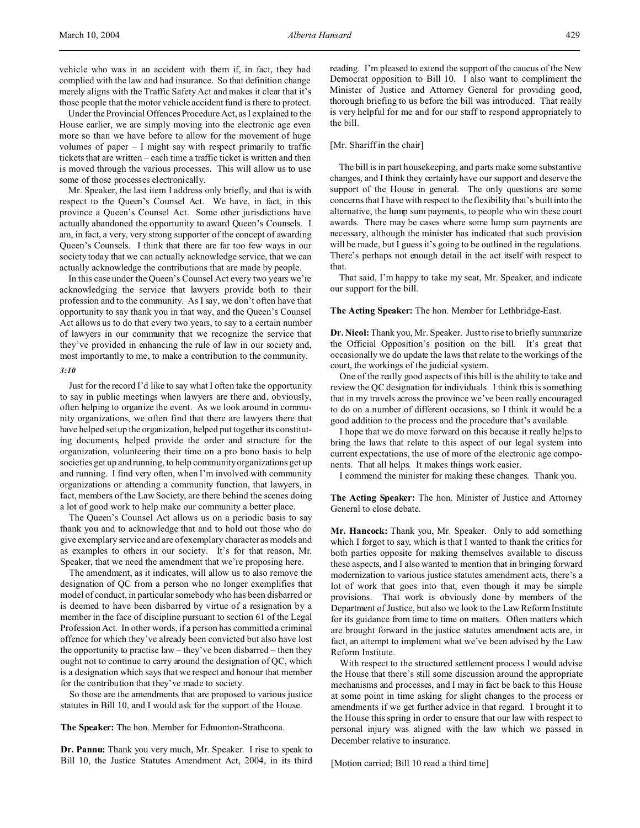vehicle who was in an accident with them if, in fact, they had complied with the law and had insurance. So that definition change merely aligns with the Traffic Safety Act and makes it clear that it's those people that the motor vehicle accident fund is there to protect.

Under the Provincial Offences Procedure Act, as I explained to the House earlier, we are simply moving into the electronic age even more so than we have before to allow for the movement of huge volumes of paper – I might say with respect primarily to traffic tickets that are written – each time a traffic ticket is written and then is moved through the various processes. This will allow us to use some of those processes electronically.

Mr. Speaker, the last item I address only briefly, and that is with respect to the Queen's Counsel Act. We have, in fact, in this province a Queen's Counsel Act. Some other jurisdictions have actually abandoned the opportunity to award Queen's Counsels. I am, in fact, a very, very strong supporter of the concept of awarding Queen's Counsels. I think that there are far too few ways in our society today that we can actually acknowledge service, that we can actually acknowledge the contributions that are made by people.

In this case under the Queen's Counsel Act every two years we're acknowledging the service that lawyers provide both to their profession and to the community. As I say, we don't often have that opportunity to say thank you in that way, and the Queen's Counsel Act allows us to do that every two years, to say to a certain number of lawyers in our community that we recognize the service that they've provided in enhancing the rule of law in our society and, most importantly to me, to make a contribution to the community.

#### *3:10*

Just for the record I'd like to say what I often take the opportunity to say in public meetings when lawyers are there and, obviously, often helping to organize the event. As we look around in community organizations, we often find that there are lawyers there that have helped set up the organization, helped put together its constituting documents, helped provide the order and structure for the organization, volunteering their time on a pro bono basis to help societies get up and running, to help community organizations get up and running. I find very often, when I'm involved with community organizations or attending a community function, that lawyers, in fact, members of the Law Society, are there behind the scenes doing a lot of good work to help make our community a better place.

The Queen's Counsel Act allows us on a periodic basis to say thank you and to acknowledge that and to hold out those who do give exemplary service and are of exemplary character as models and as examples to others in our society. It's for that reason, Mr. Speaker, that we need the amendment that we're proposing here.

The amendment, as it indicates, will allow us to also remove the designation of QC from a person who no longer exemplifies that model of conduct, in particular somebody who has been disbarred or is deemed to have been disbarred by virtue of a resignation by a member in the face of discipline pursuant to section 61 of the Legal Profession Act. In other words, if a person has committed a criminal offence for which they've already been convicted but also have lost the opportunity to practise law – they've been disbarred – then they ought not to continue to carry around the designation of QC, which is a designation which says that we respect and honour that member for the contribution that they've made to society.

So those are the amendments that are proposed to various justice statutes in Bill 10, and I would ask for the support of the House.

**The Speaker:** The hon. Member for Edmonton-Strathcona.

**Dr. Pannu:** Thank you very much, Mr. Speaker. I rise to speak to Bill 10, the Justice Statutes Amendment Act, 2004, in its third reading. I'm pleased to extend the support of the caucus of the New Democrat opposition to Bill 10. I also want to compliment the Minister of Justice and Attorney General for providing good, thorough briefing to us before the bill was introduced. That really is very helpful for me and for our staff to respond appropriately to the bill.

#### [Mr. Shariff in the chair]

The bill is in part housekeeping, and parts make some substantive changes, and I think they certainly have our support and deserve the support of the House in general. The only questions are some concerns that I have with respect to the flexibility that's built into the alternative, the lump sum payments, to people who win these court awards. There may be cases where some lump sum payments are necessary, although the minister has indicated that such provision will be made, but I guess it's going to be outlined in the regulations. There's perhaps not enough detail in the act itself with respect to that.

That said, I'm happy to take my seat, Mr. Speaker, and indicate our support for the bill.

#### **The Acting Speaker:** The hon. Member for Lethbridge-East.

**Dr. Nicol:**Thank you, Mr. Speaker. Just to rise to briefly summarize the Official Opposition's position on the bill. It's great that occasionally we do update the laws that relate to the workings of the court, the workings of the judicial system.

One of the really good aspects of this bill is the ability to take and review the QC designation for individuals. I think this is something that in my travels across the province we've been really encouraged to do on a number of different occasions, so I think it would be a good addition to the process and the procedure that's available.

I hope that we do move forward on this because it really helps to bring the laws that relate to this aspect of our legal system into current expectations, the use of more of the electronic age components. That all helps. It makes things work easier.

I commend the minister for making these changes. Thank you.

**The Acting Speaker:** The hon. Minister of Justice and Attorney General to close debate.

**Mr. Hancock:** Thank you, Mr. Speaker. Only to add something which I forgot to say, which is that I wanted to thank the critics for both parties opposite for making themselves available to discuss these aspects, and I also wanted to mention that in bringing forward modernization to various justice statutes amendment acts, there's a lot of work that goes into that, even though it may be simple provisions. That work is obviously done by members of the Department of Justice, but also we look to the Law Reform Institute for its guidance from time to time on matters. Often matters which are brought forward in the justice statutes amendment acts are, in fact, an attempt to implement what we've been advised by the Law Reform Institute.

With respect to the structured settlement process I would advise the House that there's still some discussion around the appropriate mechanisms and processes, and I may in fact be back to this House at some point in time asking for slight changes to the process or amendments if we get further advice in that regard. I brought it to the House this spring in order to ensure that our law with respect to personal injury was aligned with the law which we passed in December relative to insurance.

[Motion carried; Bill 10 read a third time]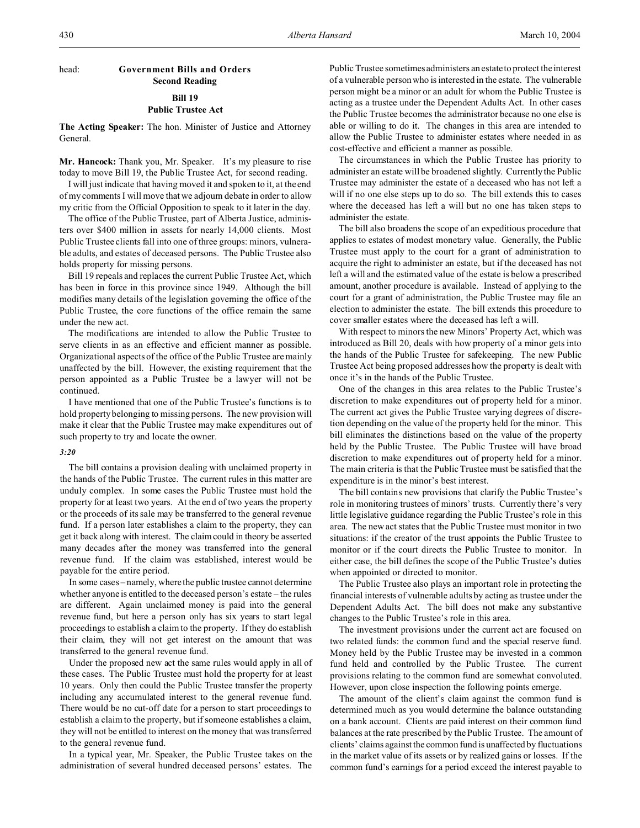# head: **Government Bills and Orders Second Reading Bill 19**

## **Public Trustee Act**

**The Acting Speaker:** The hon. Minister of Justice and Attorney General.

**Mr. Hancock:** Thank you, Mr. Speaker. It's my pleasure to rise today to move Bill 19, the Public Trustee Act, for second reading.

I will just indicate that having moved it and spoken to it, at the end of my comments I will move that we adjourn debate in order to allow my critic from the Official Opposition to speak to it later in the day.

The office of the Public Trustee, part of Alberta Justice, administers over \$400 million in assets for nearly 14,000 clients. Most Public Trustee clients fall into one of three groups: minors, vulnerable adults, and estates of deceased persons. The Public Trustee also holds property for missing persons.

Bill 19 repeals and replaces the current Public Trustee Act, which has been in force in this province since 1949. Although the bill modifies many details of the legislation governing the office of the Public Trustee, the core functions of the office remain the same under the new act.

The modifications are intended to allow the Public Trustee to serve clients in as an effective and efficient manner as possible. Organizational aspects of the office of the Public Trustee are mainly unaffected by the bill. However, the existing requirement that the person appointed as a Public Trustee be a lawyer will not be continued.

I have mentioned that one of the Public Trustee's functions is to hold property belonging to missing persons. The new provision will make it clear that the Public Trustee may make expenditures out of such property to try and locate the owner.

## *3:20*

The bill contains a provision dealing with unclaimed property in the hands of the Public Trustee. The current rules in this matter are unduly complex. In some cases the Public Trustee must hold the property for at least two years. At the end of two years the property or the proceeds of its sale may be transferred to the general revenue fund. If a person later establishes a claim to the property, they can get it back along with interest. The claim could in theory be asserted many decades after the money was transferred into the general revenue fund. If the claim was established, interest would be payable for the entire period.

In some cases – namely, where the public trustee cannot determine whether anyone is entitled to the deceased person's estate – the rules are different. Again unclaimed money is paid into the general revenue fund, but here a person only has six years to start legal proceedings to establish a claim to the property. If they do establish their claim, they will not get interest on the amount that was transferred to the general revenue fund.

Under the proposed new act the same rules would apply in all of these cases. The Public Trustee must hold the property for at least 10 years. Only then could the Public Trustee transfer the property including any accumulated interest to the general revenue fund. There would be no cut-off date for a person to start proceedings to establish a claim to the property, but if someone establishes a claim, they will not be entitled to interest on the money that was transferred to the general revenue fund.

In a typical year, Mr. Speaker, the Public Trustee takes on the administration of several hundred deceased persons' estates. The Public Trustee sometimes administers an estate to protect the interest of a vulnerable person who is interested in the estate. The vulnerable person might be a minor or an adult for whom the Public Trustee is acting as a trustee under the Dependent Adults Act. In other cases the Public Trustee becomes the administrator because no one else is able or willing to do it. The changes in this area are intended to allow the Public Trustee to administer estates where needed in as cost-effective and efficient a manner as possible.

The circumstances in which the Public Trustee has priority to administer an estate will be broadened slightly. Currently the Public Trustee may administer the estate of a deceased who has not left a will if no one else steps up to do so. The bill extends this to cases where the deceased has left a will but no one has taken steps to administer the estate.

The bill also broadens the scope of an expeditious procedure that applies to estates of modest monetary value. Generally, the Public Trustee must apply to the court for a grant of administration to acquire the right to administer an estate, but if the deceased has not left a will and the estimated value of the estate is below a prescribed amount, another procedure is available. Instead of applying to the court for a grant of administration, the Public Trustee may file an election to administer the estate. The bill extends this procedure to cover smaller estates where the deceased has left a will.

With respect to minors the new Minors' Property Act, which was introduced as Bill 20, deals with how property of a minor gets into the hands of the Public Trustee for safekeeping. The new Public Trustee Act being proposed addresses how the property is dealt with once it's in the hands of the Public Trustee.

One of the changes in this area relates to the Public Trustee's discretion to make expenditures out of property held for a minor. The current act gives the Public Trustee varying degrees of discretion depending on the value of the property held for the minor. This bill eliminates the distinctions based on the value of the property held by the Public Trustee. The Public Trustee will have broad discretion to make expenditures out of property held for a minor. The main criteria is that the Public Trustee must be satisfied that the expenditure is in the minor's best interest.

The bill contains new provisions that clarify the Public Trustee's role in monitoring trustees of minors' trusts. Currently there's very little legislative guidance regarding the Public Trustee's role in this area. The new act states that the Public Trustee must monitor in two situations: if the creator of the trust appoints the Public Trustee to monitor or if the court directs the Public Trustee to monitor. In either case, the bill defines the scope of the Public Trustee's duties when appointed or directed to monitor.

The Public Trustee also plays an important role in protecting the financial interests of vulnerable adults by acting as trustee under the Dependent Adults Act. The bill does not make any substantive changes to the Public Trustee's role in this area.

The investment provisions under the current act are focused on two related funds: the common fund and the special reserve fund. Money held by the Public Trustee may be invested in a common fund held and controlled by the Public Trustee. The current provisions relating to the common fund are somewhat convoluted. However, upon close inspection the following points emerge.

The amount of the client's claim against the common fund is determined much as you would determine the balance outstanding on a bank account. Clients are paid interest on their common fund balances at the rate prescribed by the Public Trustee. The amount of clients' claims against the common fund is unaffected by fluctuations in the market value of its assets or by realized gains or losses. If the common fund's earnings for a period exceed the interest payable to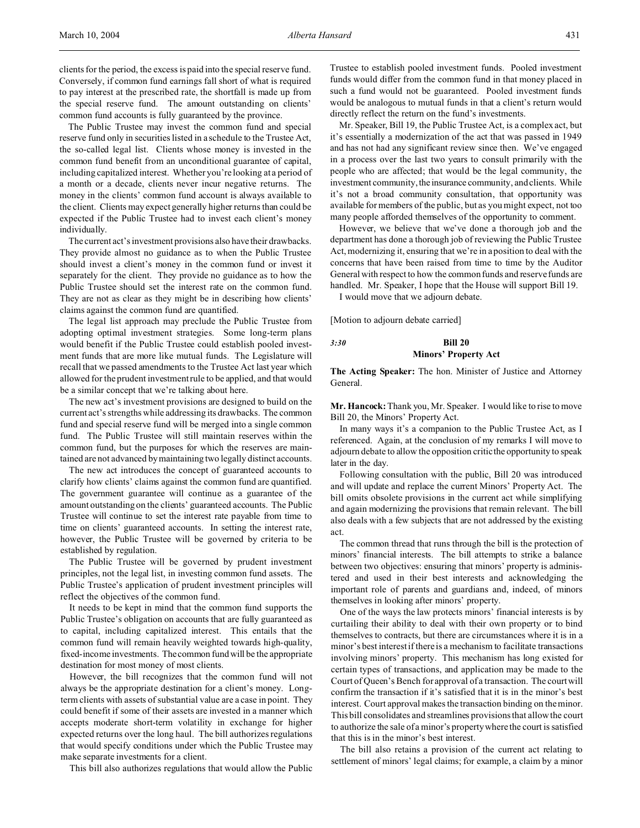clients for the period, the excess is paid into the special reserve fund. Conversely, if common fund earnings fall short of what is required to pay interest at the prescribed rate, the shortfall is made up from the special reserve fund. The amount outstanding on clients' common fund accounts is fully guaranteed by the province.

The Public Trustee may invest the common fund and special reserve fund only in securities listed in a schedule to the Trustee Act, the so-called legal list. Clients whose money is invested in the common fund benefit from an unconditional guarantee of capital, including capitalized interest. Whether you're looking at a period of a month or a decade, clients never incur negative returns. The money in the clients' common fund account is always available to the client. Clients may expect generally higher returns than could be expected if the Public Trustee had to invest each client's money individually.

The current act's investment provisions also have their drawbacks. They provide almost no guidance as to when the Public Trustee should invest a client's money in the common fund or invest it separately for the client. They provide no guidance as to how the Public Trustee should set the interest rate on the common fund. They are not as clear as they might be in describing how clients' claims against the common fund are quantified.

The legal list approach may preclude the Public Trustee from adopting optimal investment strategies. Some long-term plans would benefit if the Public Trustee could establish pooled investment funds that are more like mutual funds. The Legislature will recall that we passed amendments to the Trustee Act last year which allowed for the prudent investment rule to be applied, and that would be a similar concept that we're talking about here.

The new act's investment provisions are designed to build on the current act's strengths while addressing its drawbacks. The common fund and special reserve fund will be merged into a single common fund. The Public Trustee will still maintain reserves within the common fund, but the purposes for which the reserves are maintained are not advanced by maintaining two legally distinct accounts.

The new act introduces the concept of guaranteed accounts to clarify how clients' claims against the common fund are quantified. The government guarantee will continue as a guarantee of the amount outstanding on the clients' guaranteed accounts. The Public Trustee will continue to set the interest rate payable from time to time on clients' guaranteed accounts. In setting the interest rate, however, the Public Trustee will be governed by criteria to be established by regulation.

The Public Trustee will be governed by prudent investment principles, not the legal list, in investing common fund assets. The Public Trustee's application of prudent investment principles will reflect the objectives of the common fund.

It needs to be kept in mind that the common fund supports the Public Trustee's obligation on accounts that are fully guaranteed as to capital, including capitalized interest. This entails that the common fund will remain heavily weighted towards high-quality, fixed-income investments. The common fund will be the appropriate destination for most money of most clients.

However, the bill recognizes that the common fund will not always be the appropriate destination for a client's money. Longterm clients with assets of substantial value are a case in point. They could benefit if some of their assets are invested in a manner which accepts moderate short-term volatility in exchange for higher expected returns over the long haul. The bill authorizes regulations that would specify conditions under which the Public Trustee may make separate investments for a client.

This bill also authorizes regulations that would allow the Public

Trustee to establish pooled investment funds. Pooled investment funds would differ from the common fund in that money placed in such a fund would not be guaranteed. Pooled investment funds would be analogous to mutual funds in that a client's return would directly reflect the return on the fund's investments.

Mr. Speaker, Bill 19, the Public Trustee Act, is a complex act, but it's essentially a modernization of the act that was passed in 1949 and has not had any significant review since then. We've engaged in a process over the last two years to consult primarily with the people who are affected; that would be the legal community, the investment community, the insurance community, and clients. While it's not a broad community consultation, that opportunity was available for members of the public, but as you might expect, not too many people afforded themselves of the opportunity to comment.

However, we believe that we've done a thorough job and the department has done a thorough job of reviewing the Public Trustee Act, modernizing it, ensuring that we're in a position to deal with the concerns that have been raised from time to time by the Auditor General with respect to how the common funds and reserve funds are handled. Mr. Speaker, I hope that the House will support Bill 19.

I would move that we adjourn debate.

[Motion to adjourn debate carried]

## *3:30* **Bill 20 Minors' Property Act**

**The Acting Speaker:** The hon. Minister of Justice and Attorney General.

**Mr. Hancock:** Thank you, Mr. Speaker. I would like to rise to move Bill 20, the Minors' Property Act.

In many ways it's a companion to the Public Trustee Act, as I referenced. Again, at the conclusion of my remarks I will move to adjourn debate to allow the opposition critic the opportunity to speak later in the day.

Following consultation with the public, Bill 20 was introduced and will update and replace the current Minors' Property Act. The bill omits obsolete provisions in the current act while simplifying and again modernizing the provisions that remain relevant. The bill also deals with a few subjects that are not addressed by the existing act.

The common thread that runs through the bill is the protection of minors' financial interests. The bill attempts to strike a balance between two objectives: ensuring that minors' property is administered and used in their best interests and acknowledging the important role of parents and guardians and, indeed, of minors themselves in looking after minors' property.

One of the ways the law protects minors' financial interests is by curtailing their ability to deal with their own property or to bind themselves to contracts, but there are circumstances where it is in a minor's best interest if there is a mechanism to facilitate transactions involving minors' property. This mechanism has long existed for certain types of transactions, and application may be made to the Court of Queen's Bench for approval of a transaction. The court will confirm the transaction if it's satisfied that it is in the minor's best interest. Court approval makes the transaction binding on the minor. This bill consolidates and streamlines provisions that allow the court to authorize the sale of a minor's property where the court is satisfied that this is in the minor's best interest.

The bill also retains a provision of the current act relating to settlement of minors' legal claims; for example, a claim by a minor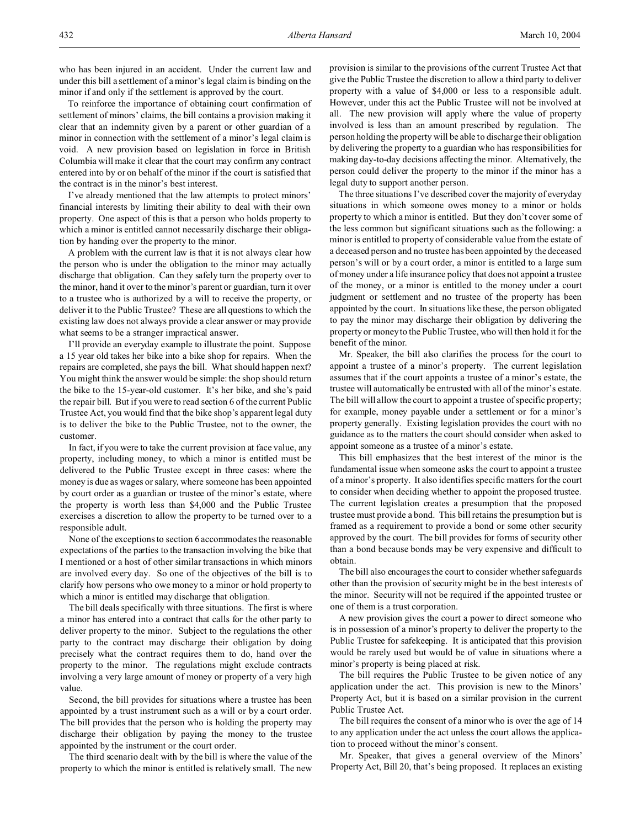To reinforce the importance of obtaining court confirmation of settlement of minors' claims, the bill contains a provision making it clear that an indemnity given by a parent or other guardian of a minor in connection with the settlement of a minor's legal claim is void. A new provision based on legislation in force in British Columbia will make it clear that the court may confirm any contract entered into by or on behalf of the minor if the court is satisfied that the contract is in the minor's best interest.

I've already mentioned that the law attempts to protect minors' financial interests by limiting their ability to deal with their own property. One aspect of this is that a person who holds property to which a minor is entitled cannot necessarily discharge their obligation by handing over the property to the minor.

A problem with the current law is that it is not always clear how the person who is under the obligation to the minor may actually discharge that obligation. Can they safely turn the property over to the minor, hand it over to the minor's parent or guardian, turn it over to a trustee who is authorized by a will to receive the property, or deliver it to the Public Trustee? These are all questions to which the existing law does not always provide a clear answer or may provide what seems to be a stranger impractical answer.

I'll provide an everyday example to illustrate the point. Suppose a 15 year old takes her bike into a bike shop for repairs. When the repairs are completed, she pays the bill. What should happen next? You might think the answer would be simple: the shop should return the bike to the 15-year-old customer. It's her bike, and she's paid the repair bill. But if you were to read section 6 of the current Public Trustee Act, you would find that the bike shop's apparent legal duty is to deliver the bike to the Public Trustee, not to the owner, the customer.

In fact, if you were to take the current provision at face value, any property, including money, to which a minor is entitled must be delivered to the Public Trustee except in three cases: where the money is due as wages or salary, where someone has been appointed by court order as a guardian or trustee of the minor's estate, where the property is worth less than \$4,000 and the Public Trustee exercises a discretion to allow the property to be turned over to a responsible adult.

None of the exceptions to section 6 accommodates the reasonable expectations of the parties to the transaction involving the bike that I mentioned or a host of other similar transactions in which minors are involved every day. So one of the objectives of the bill is to clarify how persons who owe money to a minor or hold property to which a minor is entitled may discharge that obligation.

The bill deals specifically with three situations. The first is where a minor has entered into a contract that calls for the other party to deliver property to the minor. Subject to the regulations the other party to the contract may discharge their obligation by doing precisely what the contract requires them to do, hand over the property to the minor. The regulations might exclude contracts involving a very large amount of money or property of a very high value.

Second, the bill provides for situations where a trustee has been appointed by a trust instrument such as a will or by a court order. The bill provides that the person who is holding the property may discharge their obligation by paying the money to the trustee appointed by the instrument or the court order.

The third scenario dealt with by the bill is where the value of the property to which the minor is entitled is relatively small. The new

provision is similar to the provisions of the current Trustee Act that give the Public Trustee the discretion to allow a third party to deliver property with a value of \$4,000 or less to a responsible adult. However, under this act the Public Trustee will not be involved at all. The new provision will apply where the value of property involved is less than an amount prescribed by regulation. The person holding the property will be able to discharge their obligation by delivering the property to a guardian who has responsibilities for making day-to-day decisions affecting the minor. Alternatively, the person could deliver the property to the minor if the minor has a legal duty to support another person.

The three situations I've described cover the majority of everyday situations in which someone owes money to a minor or holds property to which a minor is entitled. But they don't cover some of the less common but significant situations such as the following: a minor is entitled to property of considerable value from the estate of a deceased person and no trustee has been appointed by the deceased person's will or by a court order, a minor is entitled to a large sum of money under a life insurance policy that does not appoint a trustee of the money, or a minor is entitled to the money under a court judgment or settlement and no trustee of the property has been appointed by the court. In situations like these, the person obligated to pay the minor may discharge their obligation by delivering the property or money to the Public Trustee, who will then hold it for the benefit of the minor.

Mr. Speaker, the bill also clarifies the process for the court to appoint a trustee of a minor's property. The current legislation assumes that if the court appoints a trustee of a minor's estate, the trustee will automatically be entrusted with all of the minor's estate. The bill will allow the court to appoint a trustee of specific property; for example, money payable under a settlement or for a minor's property generally. Existing legislation provides the court with no guidance as to the matters the court should consider when asked to appoint someone as a trustee of a minor's estate.

This bill emphasizes that the best interest of the minor is the fundamental issue when someone asks the court to appoint a trustee of a minor's property. It also identifies specific matters for the court to consider when deciding whether to appoint the proposed trustee. The current legislation creates a presumption that the proposed trustee must provide a bond. This bill retains the presumption but is framed as a requirement to provide a bond or some other security approved by the court. The bill provides for forms of security other than a bond because bonds may be very expensive and difficult to obtain.

The bill also encourages the court to consider whether safeguards other than the provision of security might be in the best interests of the minor. Security will not be required if the appointed trustee or one of them is a trust corporation.

A new provision gives the court a power to direct someone who is in possession of a minor's property to deliver the property to the Public Trustee for safekeeping. It is anticipated that this provision would be rarely used but would be of value in situations where a minor's property is being placed at risk.

The bill requires the Public Trustee to be given notice of any application under the act. This provision is new to the Minors' Property Act, but it is based on a similar provision in the current Public Trustee Act.

The bill requires the consent of a minor who is over the age of 14 to any application under the act unless the court allows the application to proceed without the minor's consent.

Mr. Speaker, that gives a general overview of the Minors' Property Act, Bill 20, that's being proposed. It replaces an existing